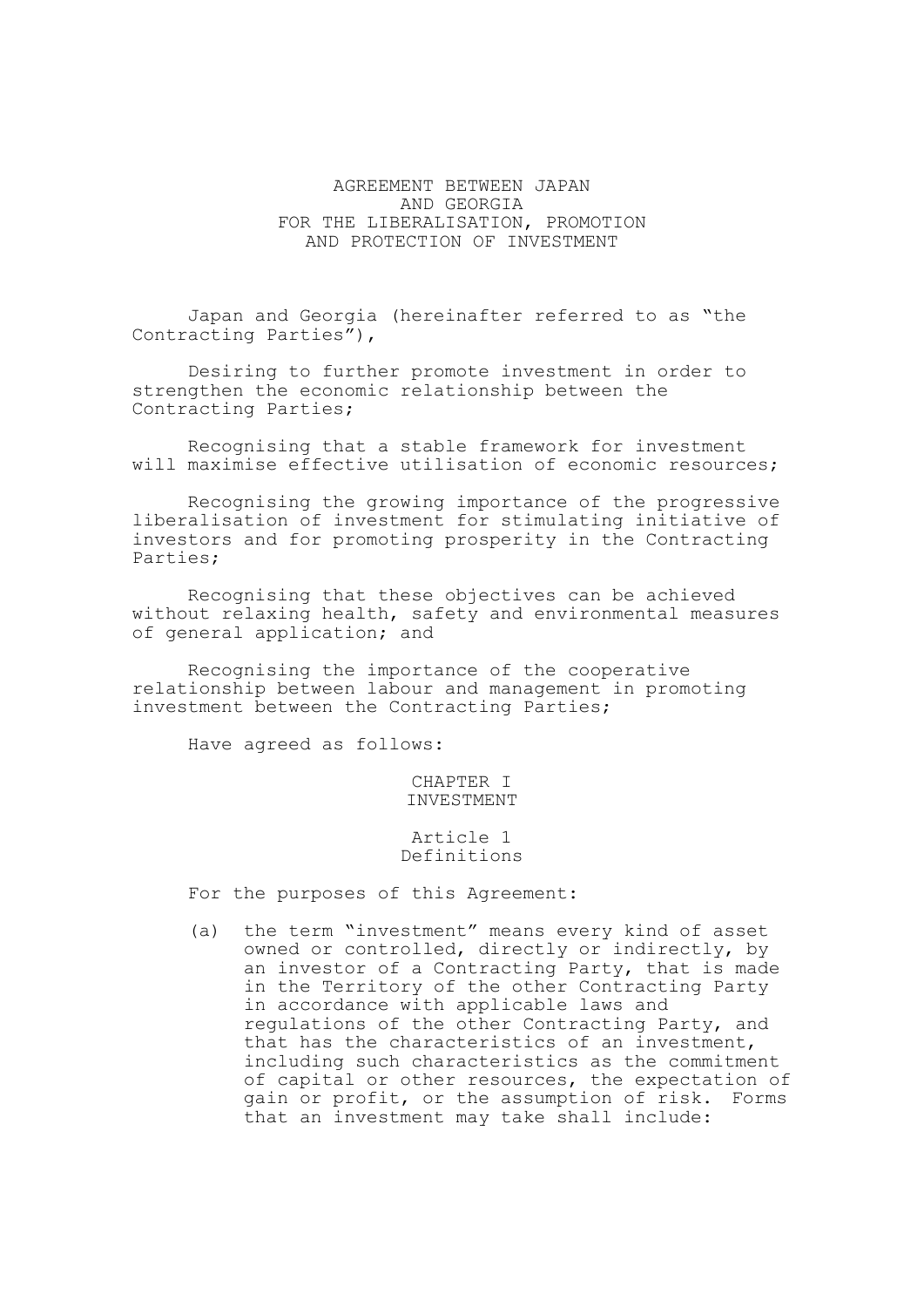# AGREEMENT BETWEEN JAPAN AND GEORGIA FOR THE LIBERALISATION, PROMOTION AND PROTECTION OF INVESTMENT

Japan and Georgia (hereinafter referred to as "the Contracting Parties"),

Desiring to further promote investment in order to strengthen the economic relationship between the Contracting Parties;

Recognising that a stable framework for investment will maximise effective utilisation of economic resources;

Recognising the growing importance of the progressive liberalisation of investment for stimulating initiative of investors and for promoting prosperity in the Contracting Parties;

Recognising that these objectives can be achieved without relaxing health, safety and environmental measures of general application; and

Recognising the importance of the cooperative relationship between labour and management in promoting investment between the Contracting Parties;

Have agreed as follows:

### CHAPTER I INVESTMENT

### Article 1 Definitions

For the purposes of this Agreement:

(a) the term "investment" means every kind of asset owned or controlled, directly or indirectly, by an investor of a Contracting Party, that is made in the Territory of the other Contracting Party in accordance with applicable laws and regulations of the other Contracting Party, and that has the characteristics of an investment, including such characteristics as the commitment of capital or other resources, the expectation of gain or profit, or the assumption of risk. Forms that an investment may take shall include: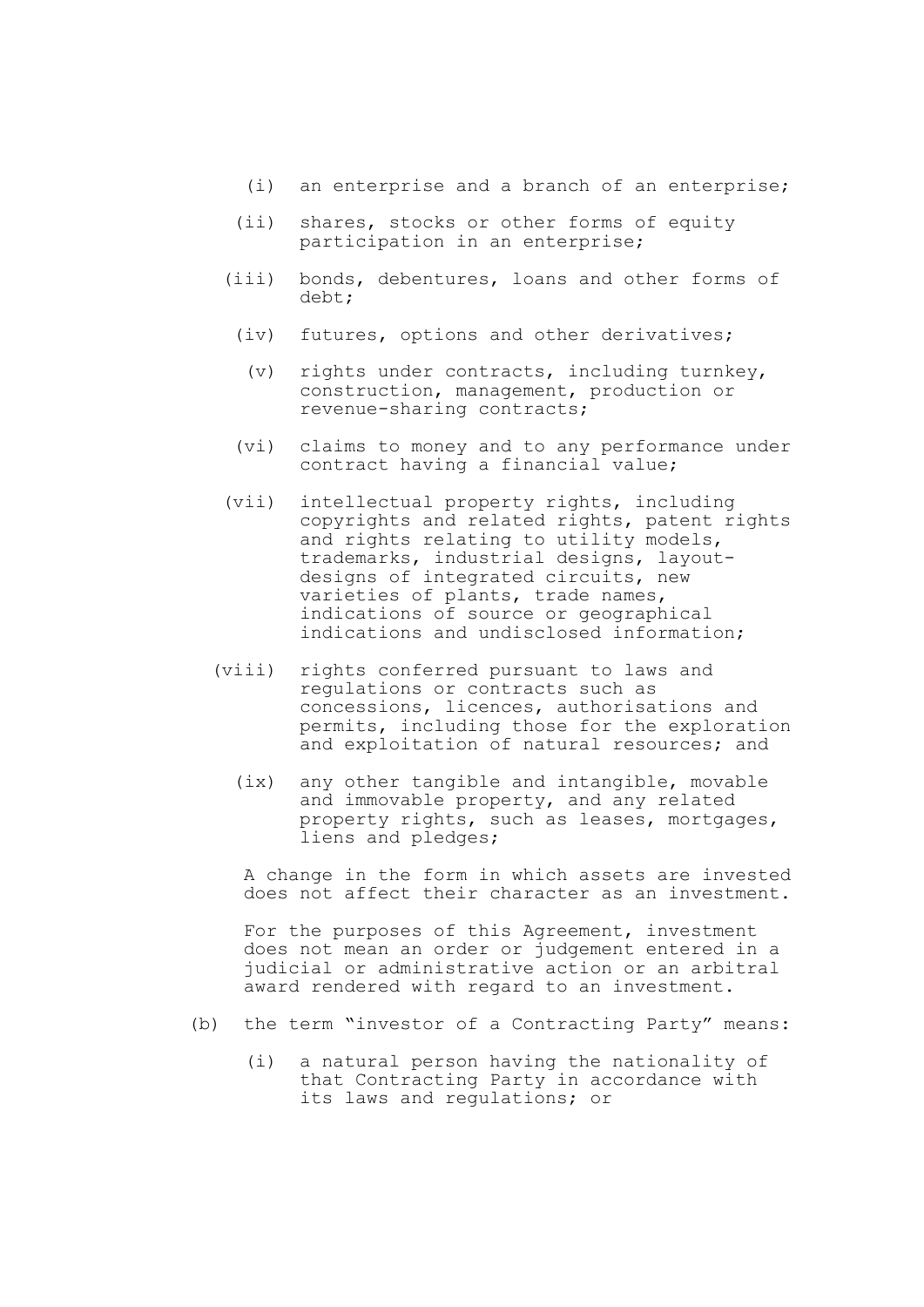- (i) an enterprise and a branch of an enterprise;
- (ii) shares, stocks or other forms of equity participation in an enterprise;
- (iii) bonds, debentures, loans and other forms of debt;
	- (iv) futures, options and other derivatives;
	- (v) rights under contracts, including turnkey, construction, management, production or revenue-sharing contracts;
	- (vi) claims to money and to any performance under contract having a financial value;
- (vii) intellectual property rights, including copyrights and related rights, patent rights and rights relating to utility models, trademarks, industrial designs, layoutdesigns of integrated circuits, new varieties of plants, trade names, indications of source or geographical indications and undisclosed information;
- (viii) rights conferred pursuant to laws and regulations or contracts such as concessions, licences, authorisations and permits, including those for the exploration and exploitation of natural resources; and
	- (ix) any other tangible and intangible, movable and immovable property, and any related property rights, such as leases, mortgages, liens and pledges;

A change in the form in which assets are invested does not affect their character as an investment.

For the purposes of this Agreement, investment does not mean an order or judgement entered in a judicial or administrative action or an arbitral award rendered with regard to an investment.

- (b) the term "investor of a Contracting Party" means:
	- (i) a natural person having the nationality of that Contracting Party in accordance with its laws and regulations; or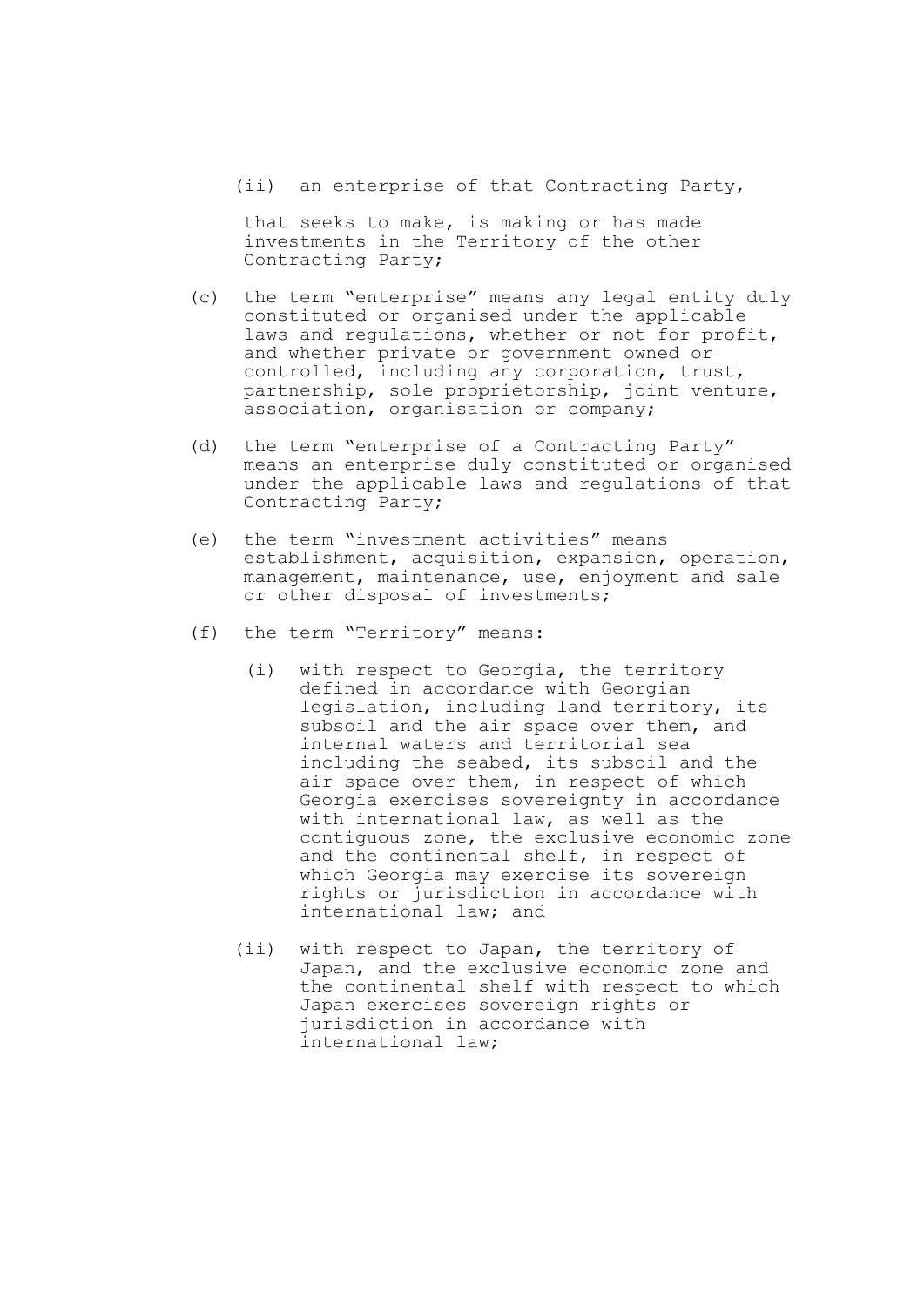(ii) an enterprise of that Contracting Party,

that seeks to make, is making or has made investments in the Territory of the other Contracting Party;

- (c) the term "enterprise" means any legal entity duly constituted or organised under the applicable laws and regulations, whether or not for profit, and whether private or government owned or controlled, including any corporation, trust, partnership, sole proprietorship, joint venture, association, organisation or company;
- (d) the term "enterprise of a Contracting Party" means an enterprise duly constituted or organised under the applicable laws and regulations of that Contracting Party;
- (e) the term "investment activities" means establishment, acquisition, expansion, operation, management, maintenance, use, enjoyment and sale or other disposal of investments;
- (f) the term "Territory" means:
	- (i) with respect to Georgia, the territory defined in accordance with Georgian legislation, including land territory, its subsoil and the air space over them, and internal waters and territorial sea including the seabed, its subsoil and the air space over them, in respect of which Georgia exercises sovereignty in accordance with international law, as well as the contiguous zone, the exclusive economic zone and the continental shelf, in respect of which Georgia may exercise its sovereign rights or jurisdiction in accordance with international law; and
	- (ii) with respect to Japan, the territory of Japan, and the exclusive economic zone and the continental shelf with respect to which Japan exercises sovereign rights or jurisdiction in accordance with international law;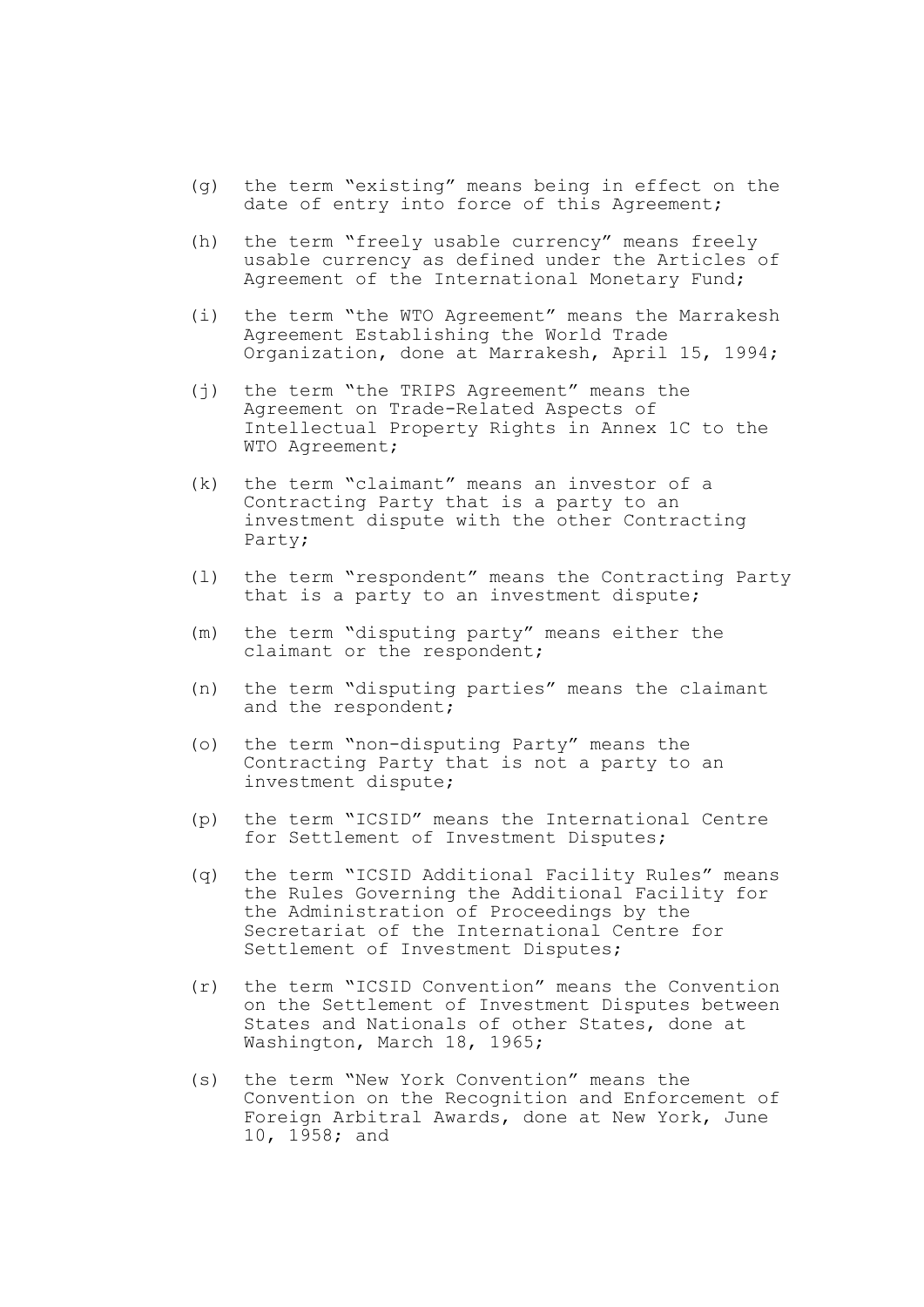- (g) the term "existing" means being in effect on the date of entry into force of this Agreement;
- (h) the term "freely usable currency" means freely usable currency as defined under the Articles of Agreement of the International Monetary Fund;
- (i) the term "the WTO Agreement" means the Marrakesh Agreement Establishing the World Trade Organization, done at Marrakesh, April 15, 1994;
- (j) the term "the TRIPS Agreement" means the Agreement on Trade-Related Aspects of Intellectual Property Rights in Annex 1C to the WTO Agreement;
- (k) the term "claimant" means an investor of a Contracting Party that is a party to an investment dispute with the other Contracting Party;
- (l) the term "respondent" means the Contracting Party that is a party to an investment dispute;
- (m) the term "disputing party" means either the claimant or the respondent;
- (n) the term "disputing parties" means the claimant and the respondent;
- (o) the term "non-disputing Party" means the Contracting Party that is not a party to an investment dispute;
- (p) the term "ICSID" means the International Centre for Settlement of Investment Disputes;
- (q) the term "ICSID Additional Facility Rules" means the Rules Governing the Additional Facility for the Administration of Proceedings by the Secretariat of the International Centre for Settlement of Investment Disputes;
- (r) the term "ICSID Convention" means the Convention on the Settlement of Investment Disputes between States and Nationals of other States, done at Washington, March 18, 1965;
- (s) the term "New York Convention" means the Convention on the Recognition and Enforcement of Foreign Arbitral Awards, done at New York, June 10, 1958; and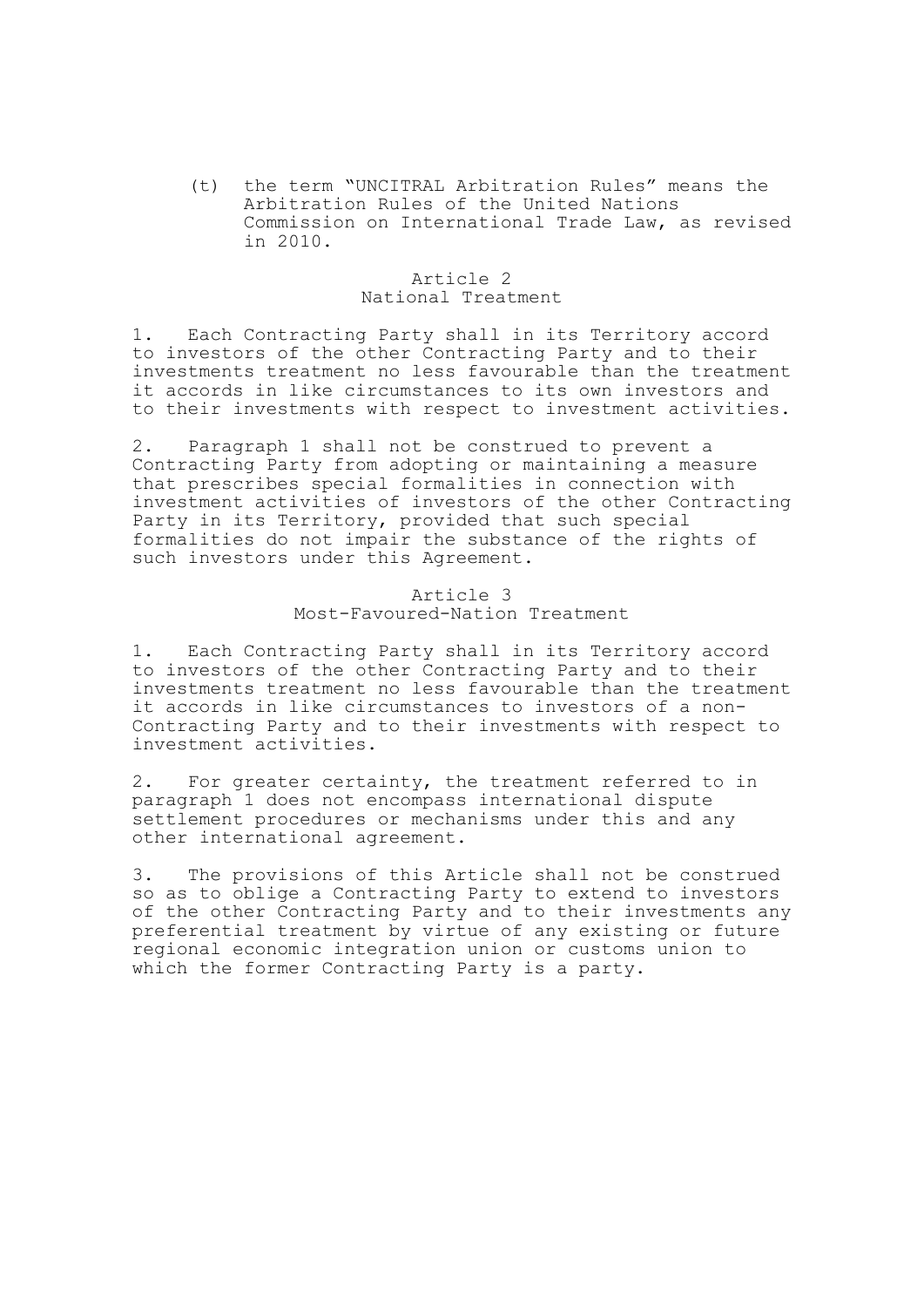(t) the term "UNCITRAL Arbitration Rules" means the Arbitration Rules of the United Nations Commission on International Trade Law, as revised in 2010.

## Article 2 National Treatment

1. Each Contracting Party shall in its Territory accord to investors of the other Contracting Party and to their investments treatment no less favourable than the treatment it accords in like circumstances to its own investors and to their investments with respect to investment activities.

2. Paragraph 1 shall not be construed to prevent a Contracting Party from adopting or maintaining a measure that prescribes special formalities in connection with investment activities of investors of the other Contracting Party in its Territory, provided that such special formalities do not impair the substance of the rights of such investors under this Agreement.

## Article 3 Most-Favoured-Nation Treatment

1. Each Contracting Party shall in its Territory accord to investors of the other Contracting Party and to their investments treatment no less favourable than the treatment it accords in like circumstances to investors of a non-Contracting Party and to their investments with respect to investment activities.

2. For greater certainty, the treatment referred to in paragraph 1 does not encompass international dispute settlement procedures or mechanisms under this and any other international agreement.

3. The provisions of this Article shall not be construed so as to oblige a Contracting Party to extend to investors of the other Contracting Party and to their investments any preferential treatment by virtue of any existing or future regional economic integration union or customs union to which the former Contracting Party is a party.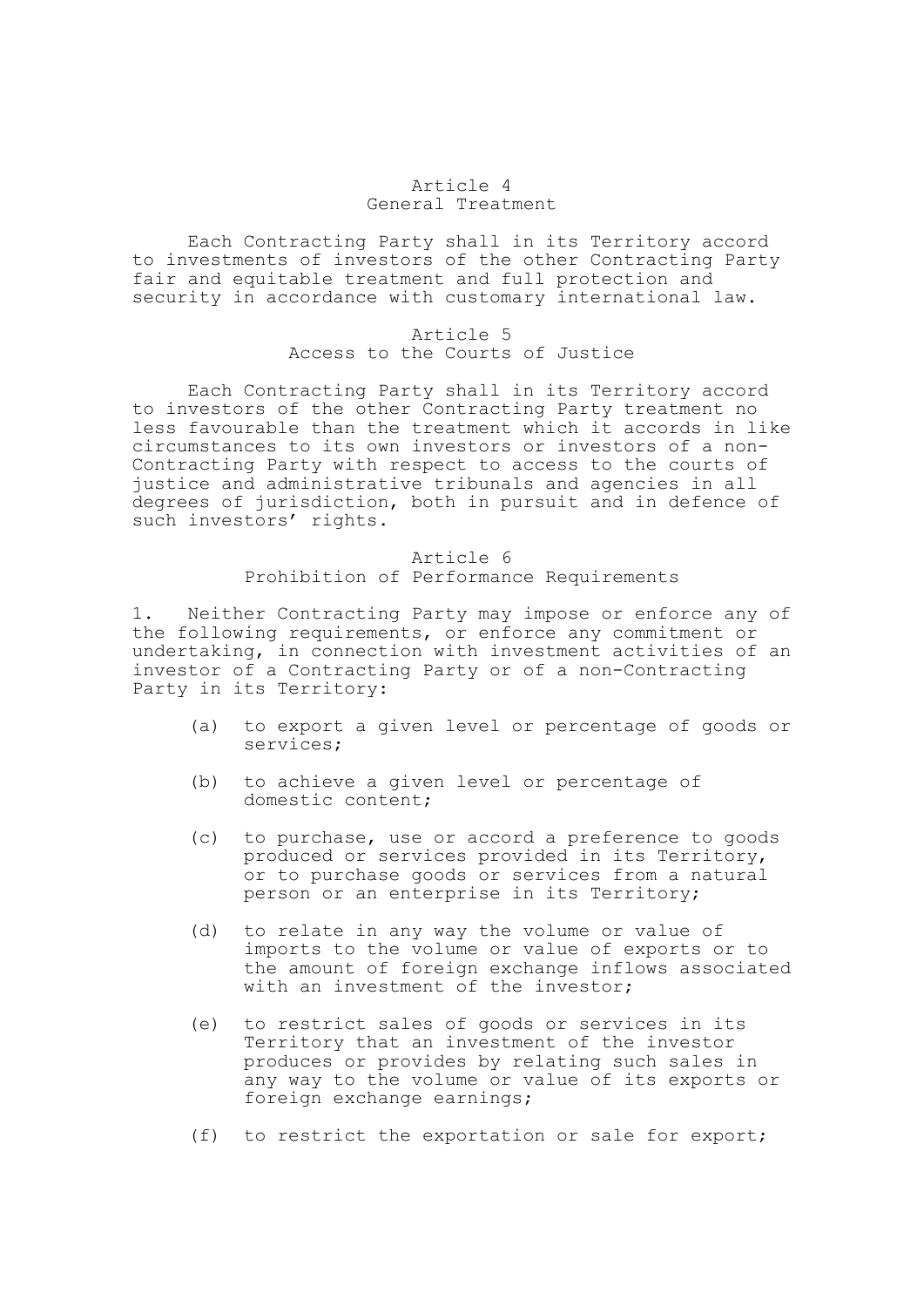# Article 4 General Treatment

Each Contracting Party shall in its Territory accord to investments of investors of the other Contracting Party fair and equitable treatment and full protection and security in accordance with customary international law.

### Article 5 Access to the Courts of Justice

Each Contracting Party shall in its Territory accord to investors of the other Contracting Party treatment no less favourable than the treatment which it accords in like circumstances to its own investors or investors of a non-Contracting Party with respect to access to the courts of justice and administrative tribunals and agencies in all degrees of jurisdiction, both in pursuit and in defence of such investors' rights.

# Article 6 Prohibition of Performance Requirements

1. Neither Contracting Party may impose or enforce any of the following requirements, or enforce any commitment or undertaking, in connection with investment activities of an investor of a Contracting Party or of a non-Contracting Party in its Territory:

- (a) to export a given level or percentage of goods or services;
- (b) to achieve a given level or percentage of domestic content;
- (c) to purchase, use or accord a preference to goods produced or services provided in its Territory, or to purchase goods or services from a natural person or an enterprise in its Territory;
- (d) to relate in any way the volume or value of imports to the volume or value of exports or to the amount of foreign exchange inflows associated with an investment of the investor;
- (e) to restrict sales of goods or services in its Territory that an investment of the investor produces or provides by relating such sales in any way to the volume or value of its exports or foreign exchange earnings;
- (f) to restrict the exportation or sale for export;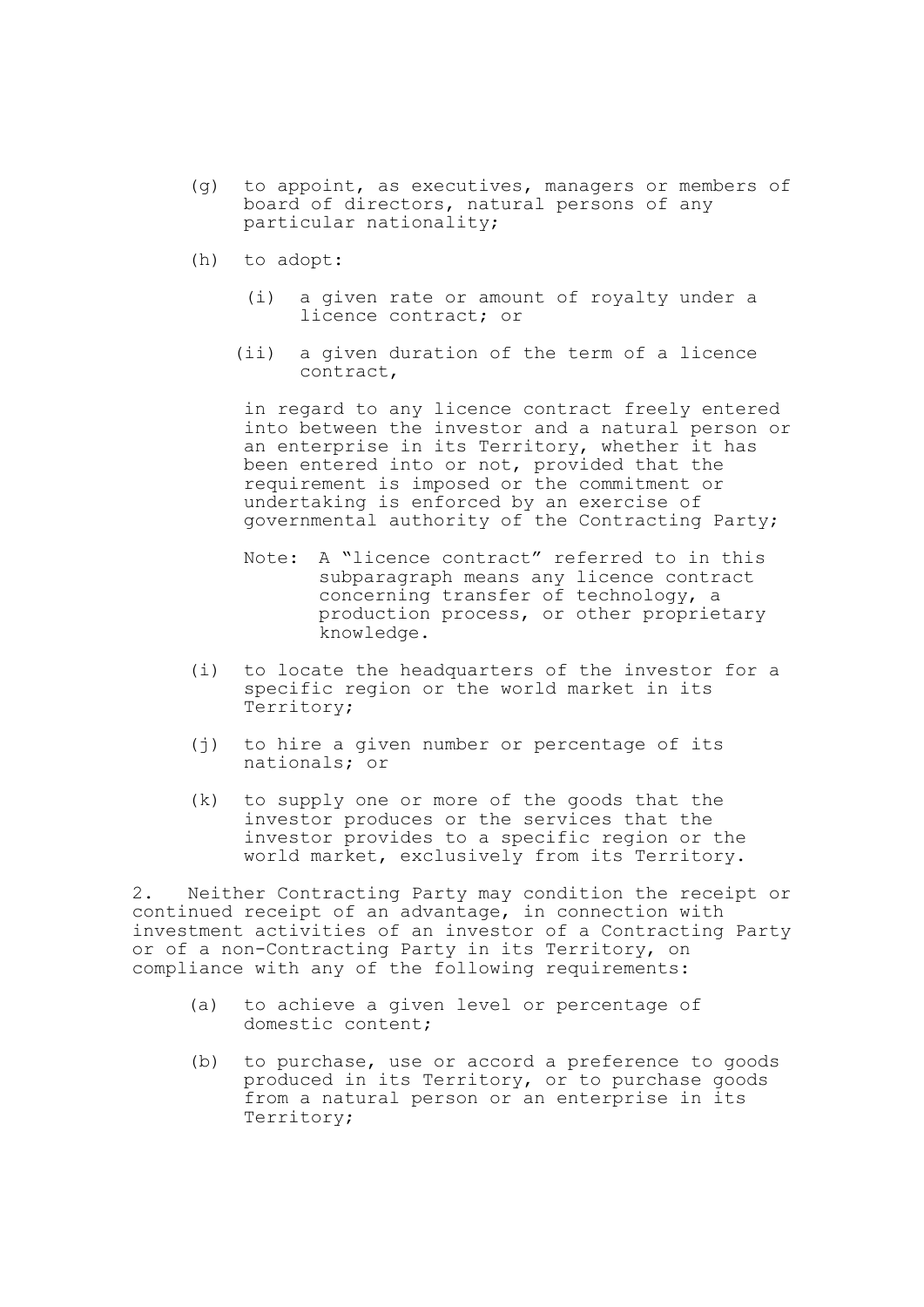- (g) to appoint, as executives, managers or members of board of directors, natural persons of any particular nationality;
- (h) to adopt:
	- (i) a given rate or amount of royalty under a licence contract; or
	- (ii) a given duration of the term of a licence contract,

in regard to any licence contract freely entered into between the investor and a natural person or an enterprise in its Territory, whether it has been entered into or not, provided that the requirement is imposed or the commitment or undertaking is enforced by an exercise of governmental authority of the Contracting Party;

- Note: A "licence contract" referred to in this subparagraph means any licence contract concerning transfer of technology, a production process, or other proprietary knowledge.
- (i) to locate the headquarters of the investor for a specific region or the world market in its Territory;
- (j) to hire a given number or percentage of its nationals; or
- (k) to supply one or more of the goods that the investor produces or the services that the investor provides to a specific region or the world market, exclusively from its Territory.

2. Neither Contracting Party may condition the receipt or continued receipt of an advantage, in connection with investment activities of an investor of a Contracting Party or of a non-Contracting Party in its Territory, on compliance with any of the following requirements:

- (a) to achieve a given level or percentage of domestic content;
- (b) to purchase, use or accord a preference to goods produced in its Territory, or to purchase goods from a natural person or an enterprise in its Territory;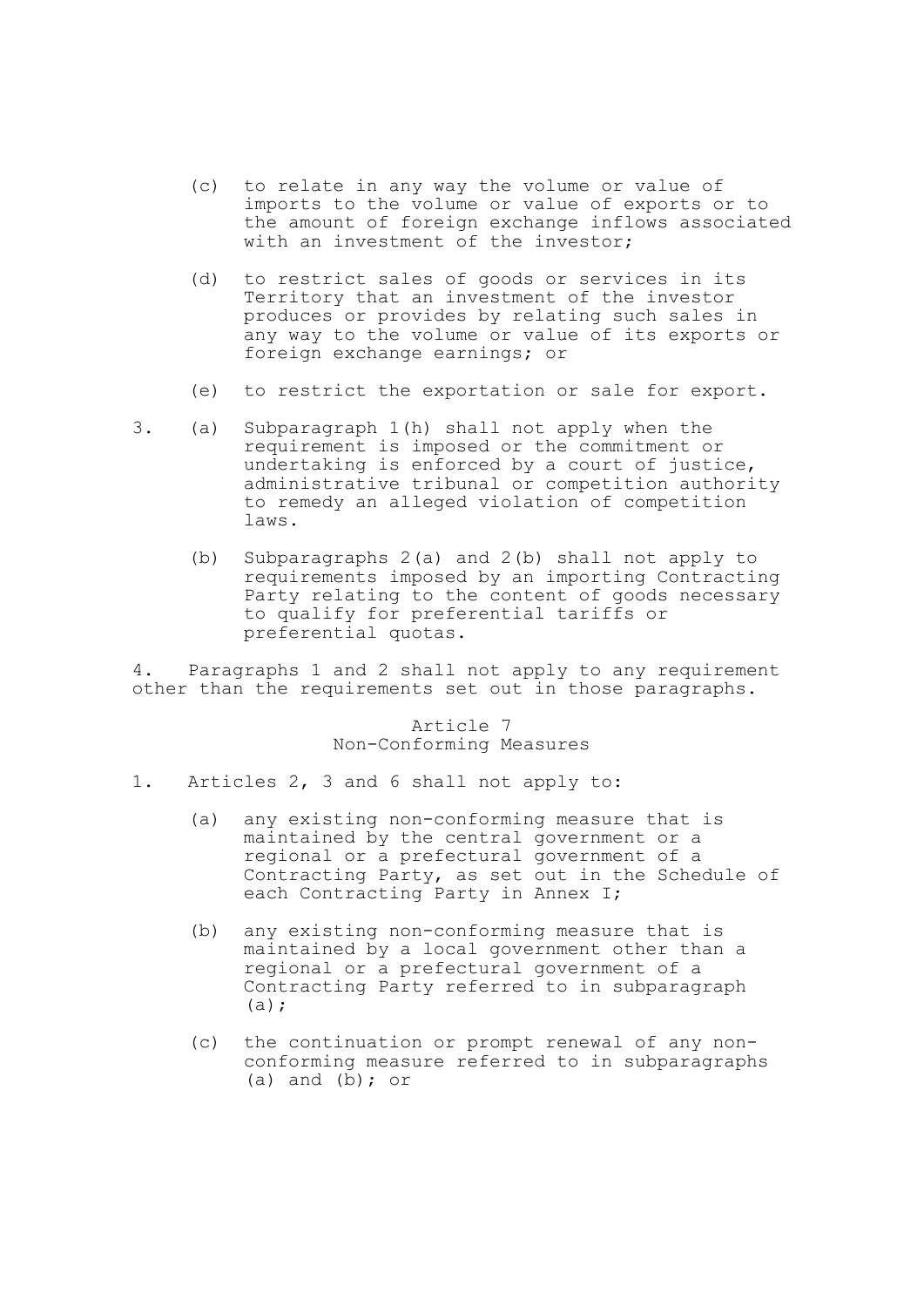- (c) to relate in any way the volume or value of imports to the volume or value of exports or to the amount of foreign exchange inflows associated with an investment of the investor;
- (d) to restrict sales of goods or services in its Territory that an investment of the investor produces or provides by relating such sales in any way to the volume or value of its exports or foreign exchange earnings; or
- (e) to restrict the exportation or sale for export.
- 3. (a) Subparagraph 1(h) shall not apply when the requirement is imposed or the commitment or undertaking is enforced by a court of justice, administrative tribunal or competition authority to remedy an alleged violation of competition laws.
	- (b) Subparagraphs 2(a) and 2(b) shall not apply to requirements imposed by an importing Contracting Party relating to the content of goods necessary to qualify for preferential tariffs or preferential quotas.

4. Paragraphs 1 and 2 shall not apply to any requirement other than the requirements set out in those paragraphs.

> Article 7 Non-Conforming Measures

- 1. Articles 2, 3 and 6 shall not apply to:
	- (a) any existing non-conforming measure that is maintained by the central government or a regional or a prefectural government of a Contracting Party, as set out in the Schedule of each Contracting Party in Annex I;
	- (b) any existing non-conforming measure that is maintained by a local government other than a regional or a prefectural government of a Contracting Party referred to in subparagraph (a);
	- (c) the continuation or prompt renewal of any nonconforming measure referred to in subparagraphs (a) and  $(b)$ ; or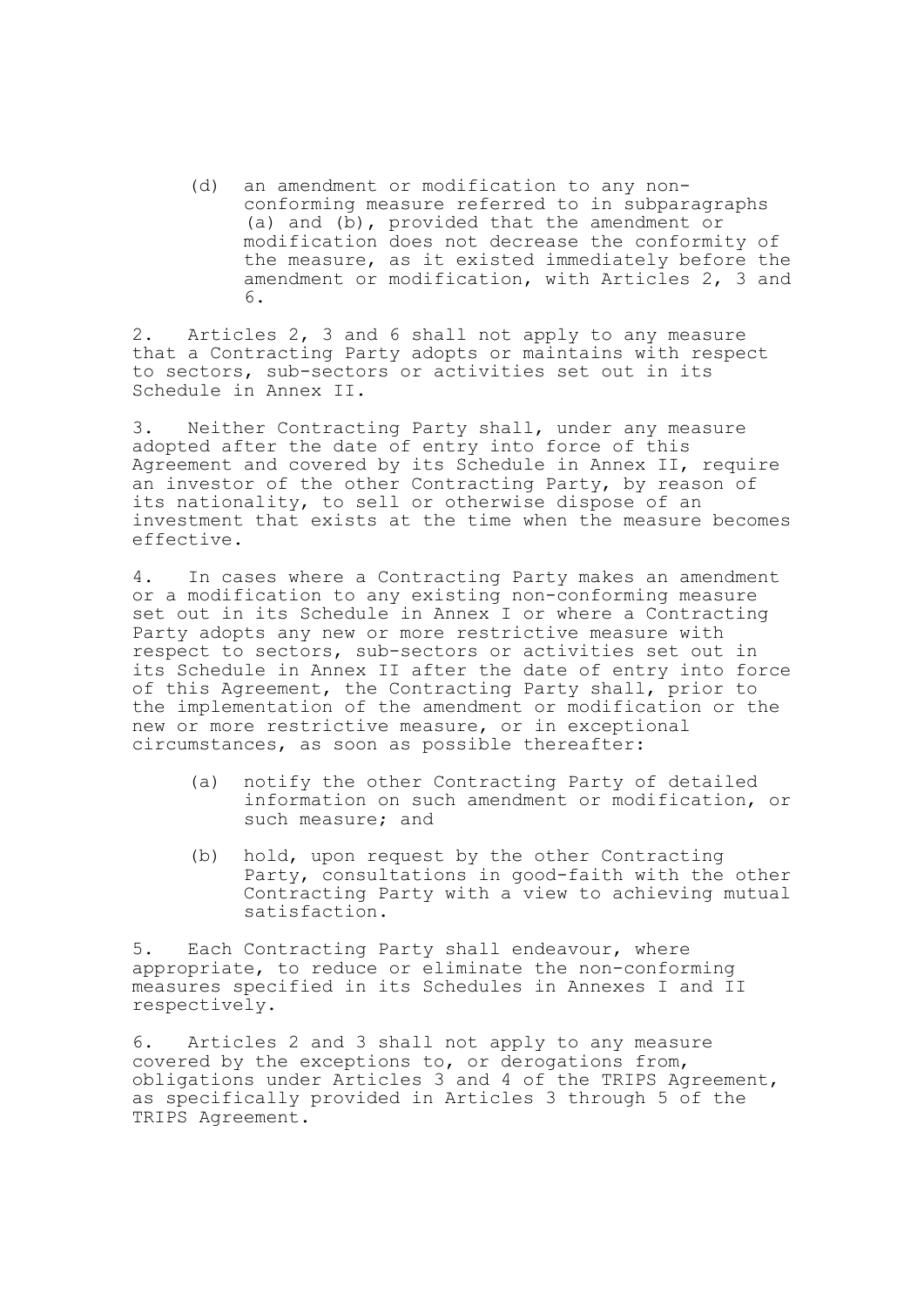(d) an amendment or modification to any nonconforming measure referred to in subparagraphs (a) and (b), provided that the amendment or modification does not decrease the conformity of the measure, as it existed immediately before the amendment or modification, with Articles 2, 3 and 6.

2. Articles 2, 3 and 6 shall not apply to any measure that a Contracting Party adopts or maintains with respect to sectors, sub-sectors or activities set out in its Schedule in Annex II.

3. Neither Contracting Party shall, under any measure adopted after the date of entry into force of this Agreement and covered by its Schedule in Annex II, require an investor of the other Contracting Party, by reason of its nationality, to sell or otherwise dispose of an investment that exists at the time when the measure becomes effective.

4. In cases where a Contracting Party makes an amendment or a modification to any existing non-conforming measure set out in its Schedule in Annex I or where a Contracting Party adopts any new or more restrictive measure with respect to sectors, sub-sectors or activities set out in its Schedule in Annex II after the date of entry into force of this Agreement, the Contracting Party shall, prior to the implementation of the amendment or modification or the new or more restrictive measure, or in exceptional circumstances, as soon as possible thereafter:

- (a) notify the other Contracting Party of detailed information on such amendment or modification, or such measure; and
- (b) hold, upon request by the other Contracting Party, consultations in good-faith with the other Contracting Party with a view to achieving mutual satisfaction.

5. Each Contracting Party shall endeavour, where appropriate, to reduce or eliminate the non-conforming measures specified in its Schedules in Annexes I and II respectively.

6. Articles 2 and 3 shall not apply to any measure covered by the exceptions to, or derogations from, obligations under Articles 3 and 4 of the TRIPS Agreement, as specifically provided in Articles 3 through 5 of the TRIPS Agreement.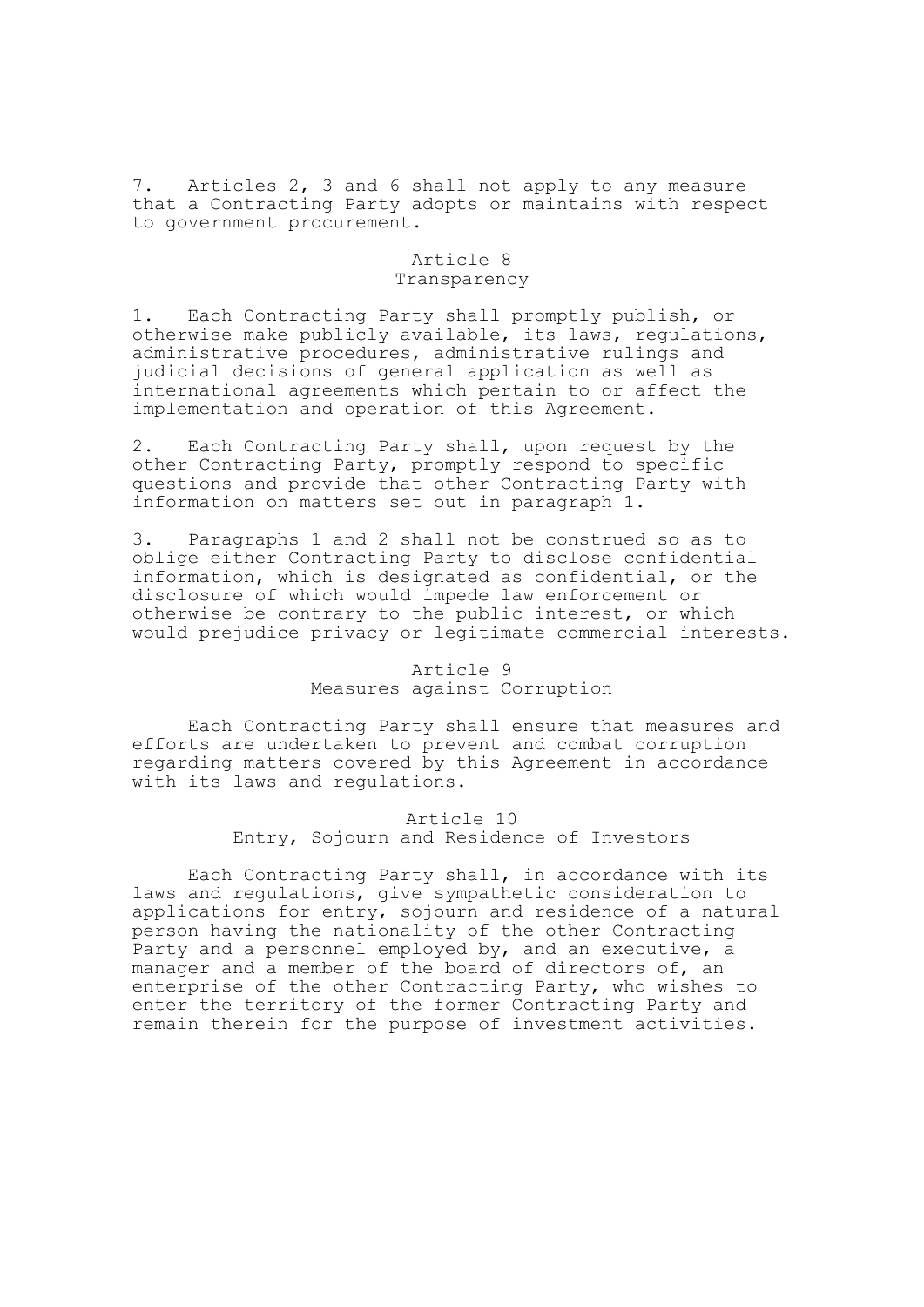7. Articles 2, 3 and 6 shall not apply to any measure that a Contracting Party adopts or maintains with respect to government procurement.

# Article 8 Transparency

1. Each Contracting Party shall promptly publish, or otherwise make publicly available, its laws, regulations, administrative procedures, administrative rulings and judicial decisions of general application as well as international agreements which pertain to or affect the implementation and operation of this Agreement.

2. Each Contracting Party shall, upon request by the other Contracting Party, promptly respond to specific questions and provide that other Contracting Party with information on matters set out in paragraph 1.

3. Paragraphs 1 and 2 shall not be construed so as to oblige either Contracting Party to disclose confidential information, which is designated as confidential, or the disclosure of which would impede law enforcement or otherwise be contrary to the public interest, or which would prejudice privacy or legitimate commercial interests.

# Article 9 Measures against Corruption

Each Contracting Party shall ensure that measures and efforts are undertaken to prevent and combat corruption regarding matters covered by this Agreement in accordance with its laws and requlations.

> Article 10 Entry, Sojourn and Residence of Investors

Each Contracting Party shall, in accordance with its laws and regulations, give sympathetic consideration to applications for entry, sojourn and residence of a natural person having the nationality of the other Contracting Party and a personnel employed by, and an executive, a manager and a member of the board of directors of, an enterprise of the other Contracting Party, who wishes to enter the territory of the former Contracting Party and remain therein for the purpose of investment activities.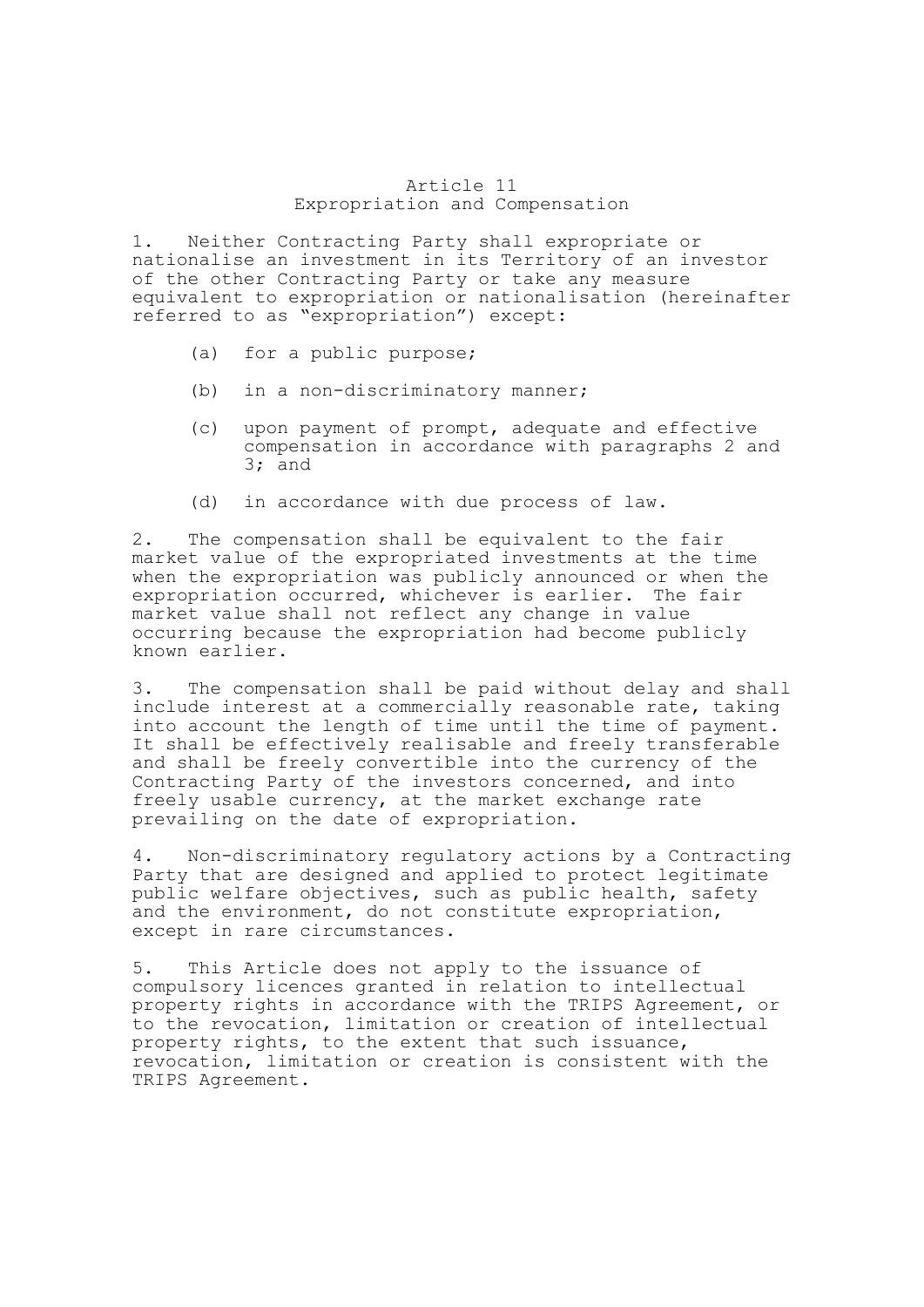## Article 11 Expropriation and Compensation

1. Neither Contracting Party shall expropriate or nationalise an investment in its Territory of an investor of the other Contracting Party or take any measure equivalent to expropriation or nationalisation (hereinafter referred to as "expropriation") except:

- (a) for a public purpose;
- (b) in a non-discriminatory manner;
- (c) upon payment of prompt, adequate and effective compensation in accordance with paragraphs 2 and 3; and
- (d) in accordance with due process of law.

2. The compensation shall be equivalent to the fair market value of the expropriated investments at the time when the expropriation was publicly announced or when the expropriation occurred, whichever is earlier. The fair market value shall not reflect any change in value occurring because the expropriation had become publicly known earlier.

3. The compensation shall be paid without delay and shall include interest at a commercially reasonable rate, taking into account the length of time until the time of payment. It shall be effectively realisable and freely transferable and shall be freely convertible into the currency of the Contracting Party of the investors concerned, and into freely usable currency, at the market exchange rate prevailing on the date of expropriation.

4. Non-discriminatory regulatory actions by a Contracting Party that are designed and applied to protect legitimate public welfare objectives, such as public health, safety and the environment, do not constitute expropriation, except in rare circumstances.

5. This Article does not apply to the issuance of compulsory licences granted in relation to intellectual property rights in accordance with the TRIPS Agreement, or to the revocation, limitation or creation of intellectual property rights, to the extent that such issuance, revocation, limitation or creation is consistent with the TRIPS Agreement.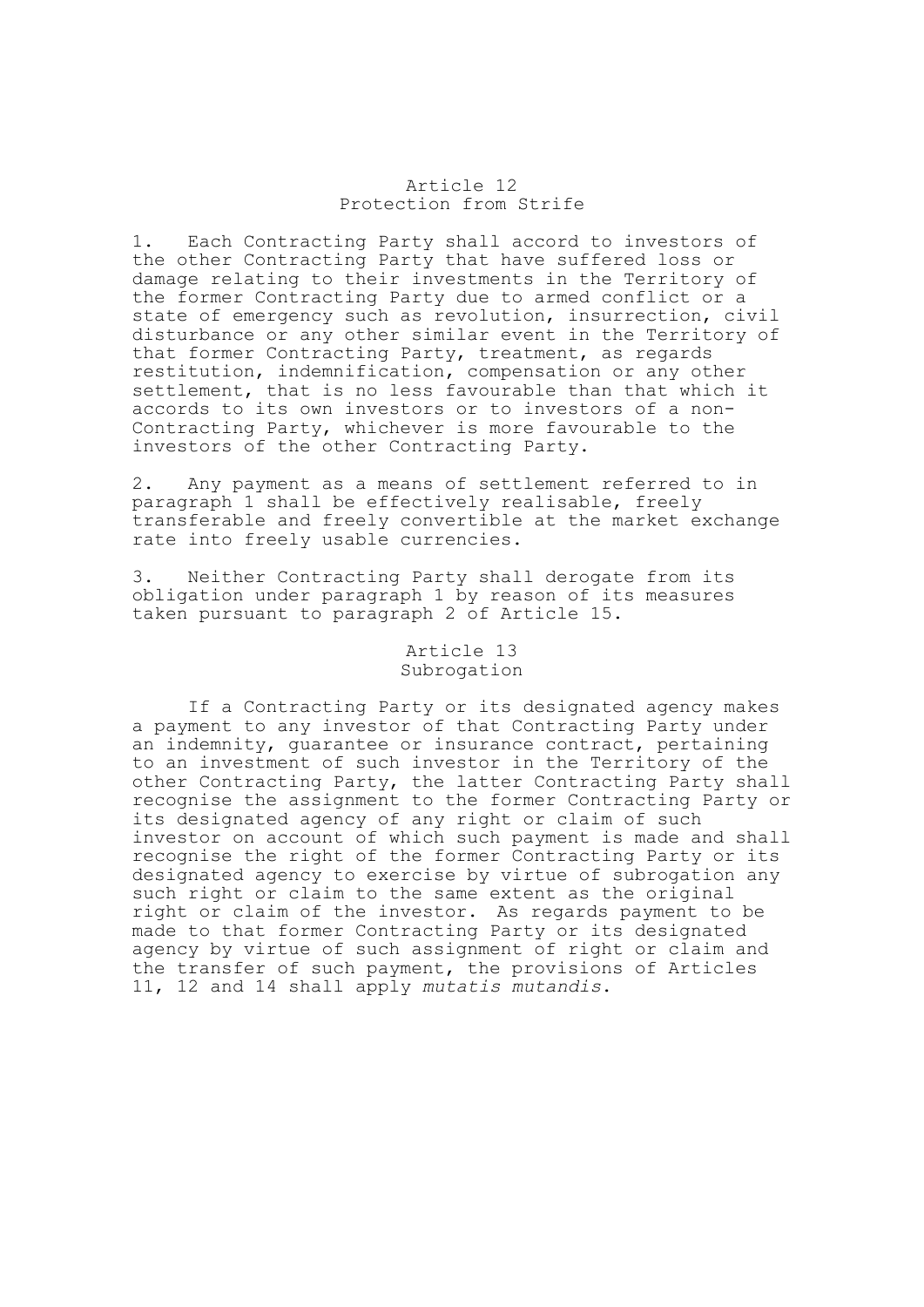## Article 12 Protection from Strife

1. Each Contracting Party shall accord to investors of the other Contracting Party that have suffered loss or damage relating to their investments in the Territory of the former Contracting Party due to armed conflict or a state of emergency such as revolution, insurrection, civil disturbance or any other similar event in the Territory of that former Contracting Party, treatment, as regards restitution, indemnification, compensation or any other settlement, that is no less favourable than that which it accords to its own investors or to investors of a non-Contracting Party, whichever is more favourable to the investors of the other Contracting Party.

2. Any payment as a means of settlement referred to in paragraph 1 shall be effectively realisable, freely transferable and freely convertible at the market exchange rate into freely usable currencies.

3. Neither Contracting Party shall derogate from its obligation under paragraph 1 by reason of its measures taken pursuant to paragraph 2 of Article 15.

## Article 13 Subrogation

If a Contracting Party or its designated agency makes a payment to any investor of that Contracting Party under an indemnity, guarantee or insurance contract, pertaining to an investment of such investor in the Territory of the other Contracting Party, the latter Contracting Party shall recognise the assignment to the former Contracting Party or its designated agency of any right or claim of such investor on account of which such payment is made and shall recognise the right of the former Contracting Party or its designated agency to exercise by virtue of subrogation any such right or claim to the same extent as the original right or claim of the investor. As regards payment to be made to that former Contracting Party or its designated agency by virtue of such assignment of right or claim and the transfer of such payment, the provisions of Articles 11, 12 and 14 shall apply *mutatis mutandis*.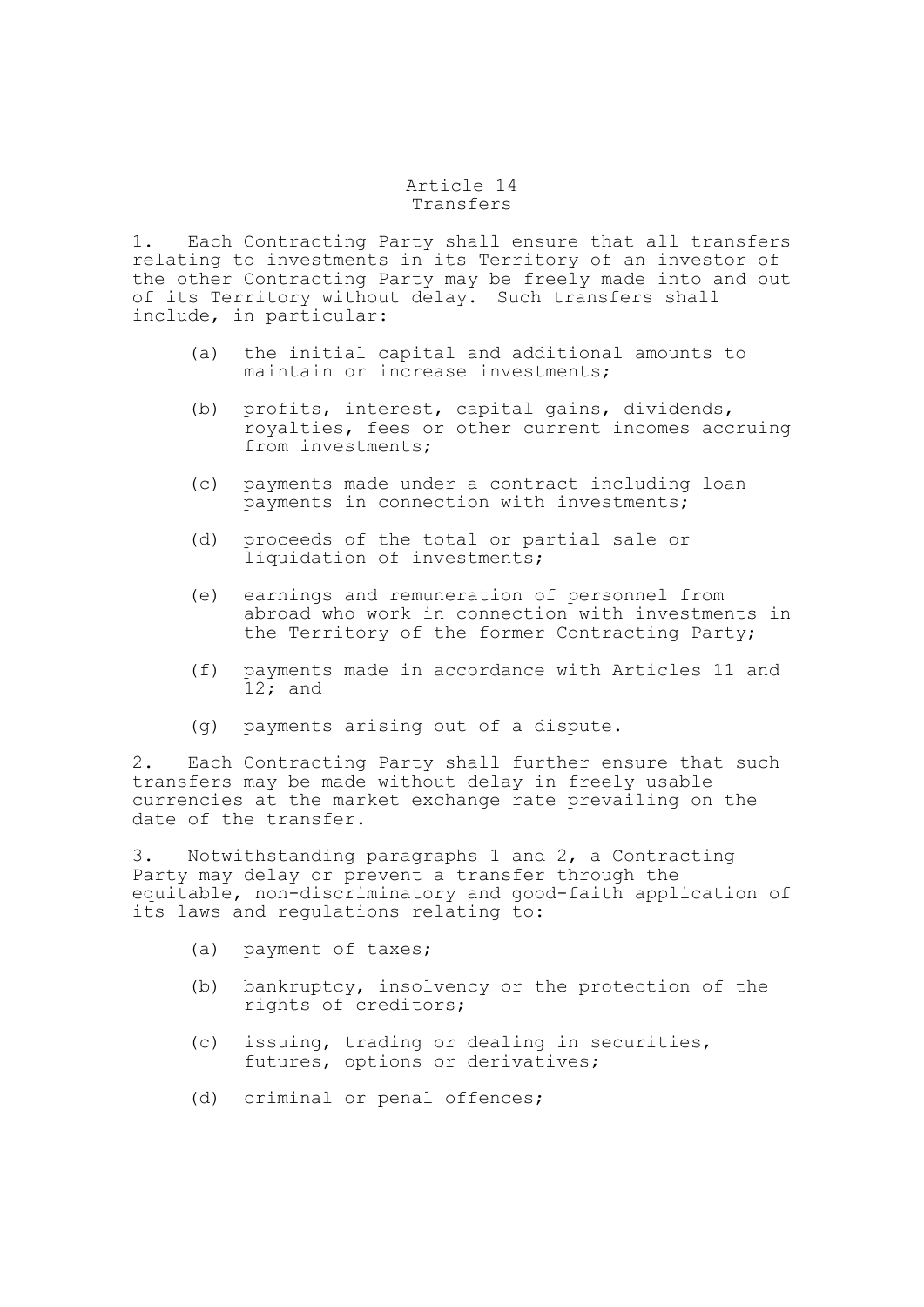# Article 14 Transfers

1. Each Contracting Party shall ensure that all transfers relating to investments in its Territory of an investor of the other Contracting Party may be freely made into and out of its Territory without delay. Such transfers shall include, in particular:

- (a) the initial capital and additional amounts to maintain or increase investments;
- (b) profits, interest, capital gains, dividends, royalties, fees or other current incomes accruing from investments;
- (c) payments made under a contract including loan payments in connection with investments;
- (d) proceeds of the total or partial sale or liquidation of investments;
- (e) earnings and remuneration of personnel from abroad who work in connection with investments in the Territory of the former Contracting Party;
- (f) payments made in accordance with Articles 11 and 12; and
- (g) payments arising out of a dispute.

2. Each Contracting Party shall further ensure that such transfers may be made without delay in freely usable currencies at the market exchange rate prevailing on the date of the transfer.

3. Notwithstanding paragraphs 1 and 2, a Contracting Party may delay or prevent a transfer through the equitable, non-discriminatory and good-faith application of its laws and regulations relating to:

- (a) payment of taxes;
- (b) bankruptcy, insolvency or the protection of the rights of creditors;
- (c) issuing, trading or dealing in securities, futures, options or derivatives;
- (d) criminal or penal offences;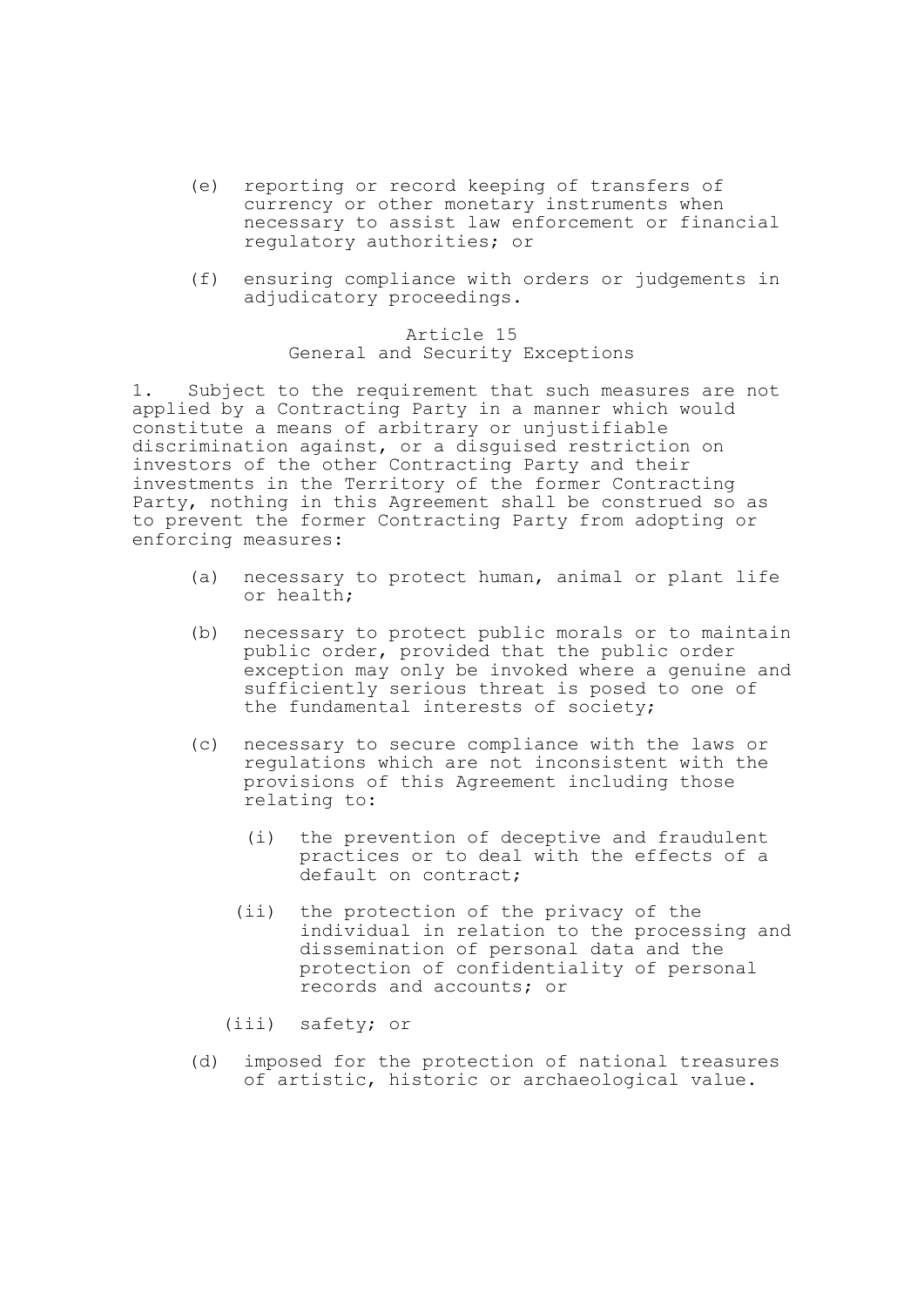- (e) reporting or record keeping of transfers of currency or other monetary instruments when necessary to assist law enforcement or financial regulatory authorities; or
- (f) ensuring compliance with orders or judgements in adjudicatory proceedings.

# Article 15 General and Security Exceptions

1. Subject to the requirement that such measures are not applied by a Contracting Party in a manner which would constitute a means of arbitrary or unjustifiable discrimination against, or a disguised restriction on investors of the other Contracting Party and their investments in the Territory of the former Contracting Party, nothing in this Agreement shall be construed so as to prevent the former Contracting Party from adopting or enforcing measures:

- (a) necessary to protect human, animal or plant life or health;
- (b) necessary to protect public morals or to maintain public order, provided that the public order exception may only be invoked where a genuine and sufficiently serious threat is posed to one of the fundamental interests of society;
- (c) necessary to secure compliance with the laws or regulations which are not inconsistent with the provisions of this Agreement including those relating to:
	- (i) the prevention of deceptive and fraudulent practices or to deal with the effects of a default on contract;
	- (ii) the protection of the privacy of the individual in relation to the processing and dissemination of personal data and the protection of confidentiality of personal records and accounts; or
	- (iii) safety; or
- (d) imposed for the protection of national treasures of artistic, historic or archaeological value.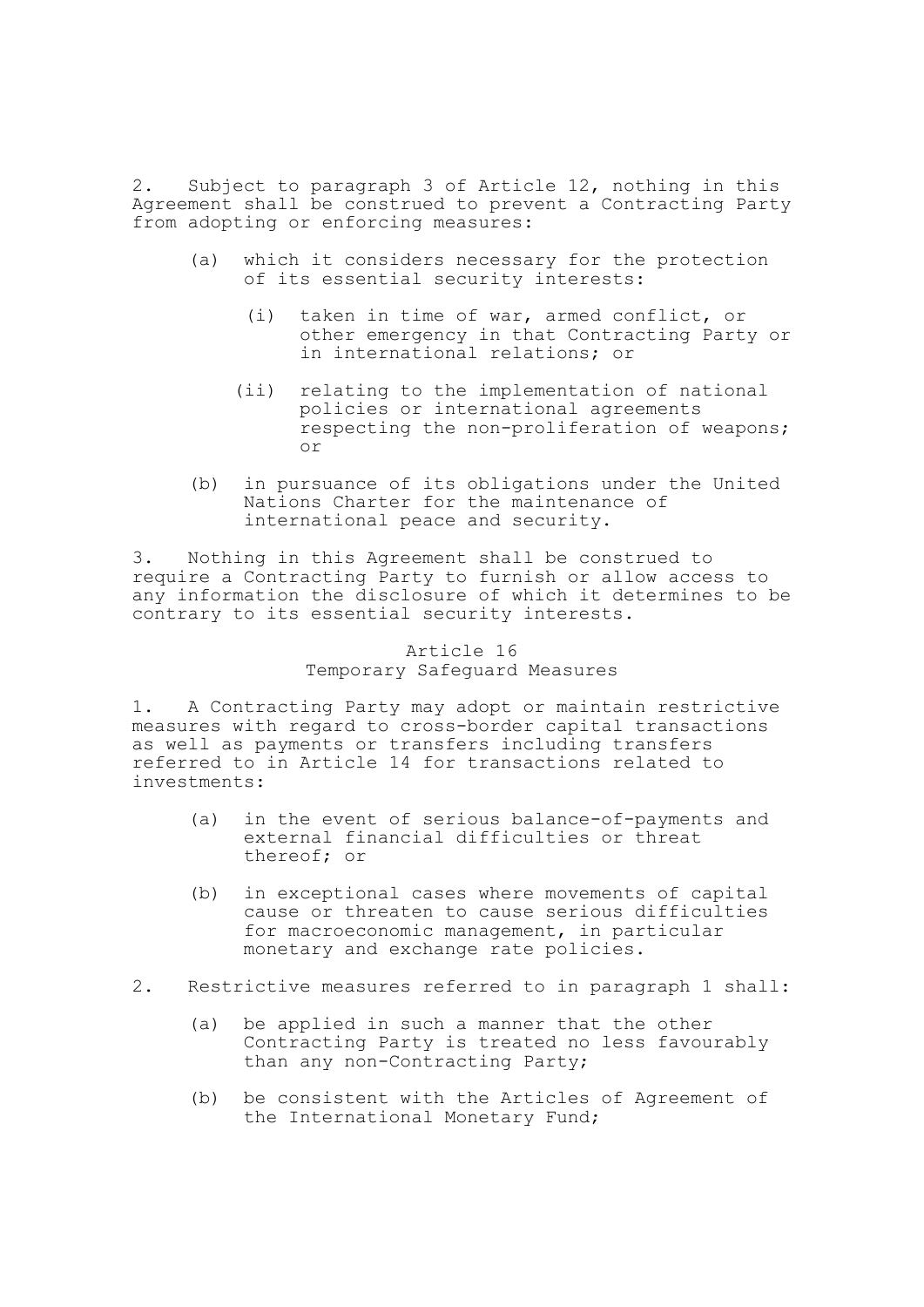2. Subject to paragraph 3 of Article 12, nothing in this Agreement shall be construed to prevent a Contracting Party from adopting or enforcing measures:

- (a) which it considers necessary for the protection of its essential security interests:
	- (i) taken in time of war, armed conflict, or other emergency in that Contracting Party or in international relations; or
	- (ii) relating to the implementation of national policies or international agreements respecting the non-proliferation of weapons; or
- (b) in pursuance of its obligations under the United Nations Charter for the maintenance of international peace and security.

3. Nothing in this Agreement shall be construed to require a Contracting Party to furnish or allow access to any information the disclosure of which it determines to be contrary to its essential security interests.

# Article 16 Temporary Safeguard Measures

1. A Contracting Party may adopt or maintain restrictive measures with regard to cross-border capital transactions as well as payments or transfers including transfers referred to in Article 14 for transactions related to investments:

- (a) in the event of serious balance-of-payments and external financial difficulties or threat thereof; or
- (b) in exceptional cases where movements of capital cause or threaten to cause serious difficulties for macroeconomic management, in particular monetary and exchange rate policies.
- 2. Restrictive measures referred to in paragraph 1 shall:
	- (a) be applied in such a manner that the other Contracting Party is treated no less favourably than any non-Contracting Party;
	- (b) be consistent with the Articles of Agreement of the International Monetary Fund;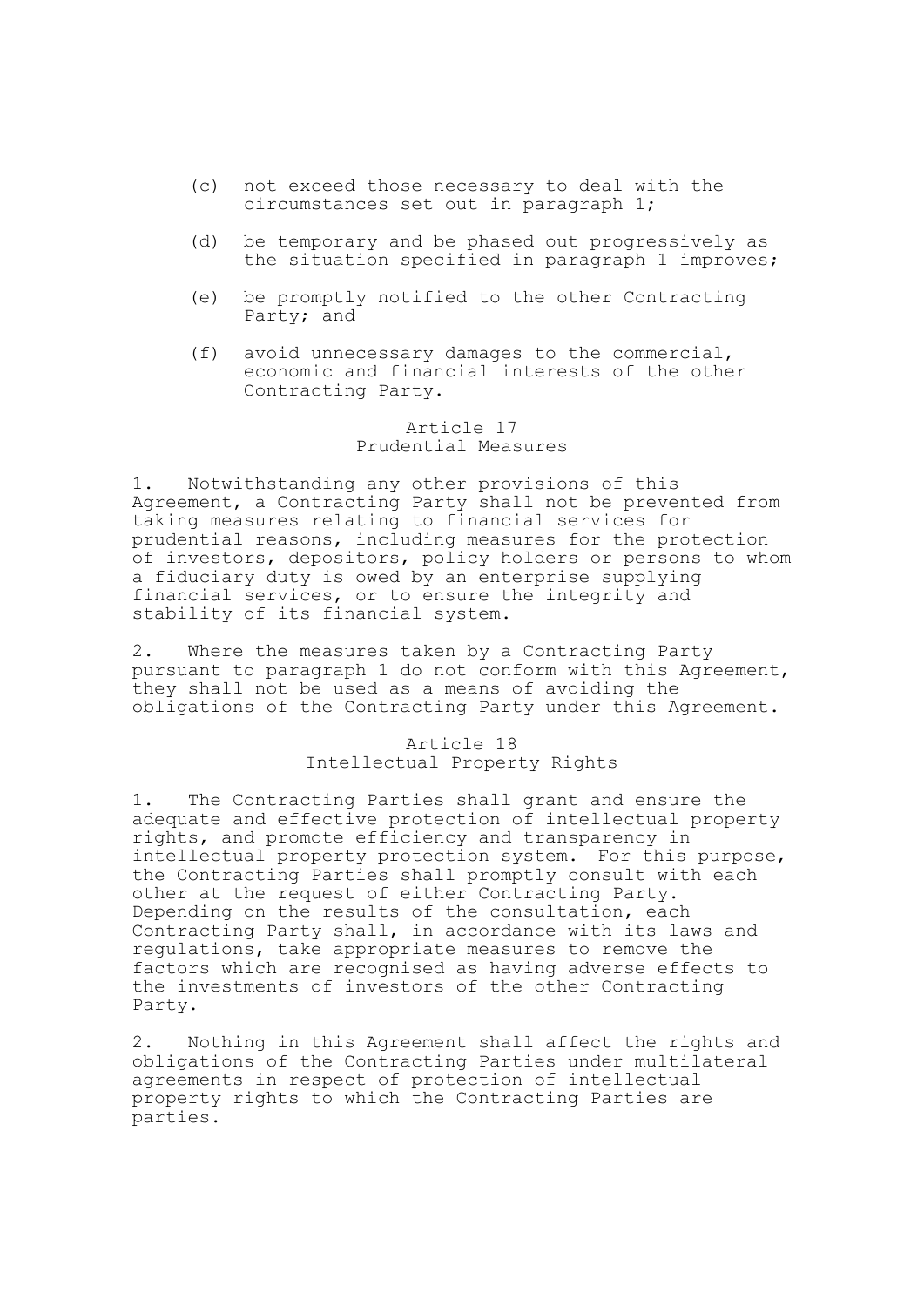- (c) not exceed those necessary to deal with the circumstances set out in paragraph 1;
- (d) be temporary and be phased out progressively as the situation specified in paragraph 1 improves;
- (e) be promptly notified to the other Contracting Party; and
- (f) avoid unnecessary damages to the commercial, economic and financial interests of the other Contracting Party.

# Article 17 Prudential Measures

1. Notwithstanding any other provisions of this Agreement, a Contracting Party shall not be prevented from taking measures relating to financial services for prudential reasons, including measures for the protection of investors, depositors, policy holders or persons to whom a fiduciary duty is owed by an enterprise supplying financial services, or to ensure the integrity and stability of its financial system.

2. Where the measures taken by a Contracting Party pursuant to paragraph 1 do not conform with this Agreement, they shall not be used as a means of avoiding the obligations of the Contracting Party under this Agreement.

> Article 18 Intellectual Property Rights

1. The Contracting Parties shall grant and ensure the adequate and effective protection of intellectual property rights, and promote efficiency and transparency in intellectual property protection system. For this purpose, the Contracting Parties shall promptly consult with each other at the request of either Contracting Party. Depending on the results of the consultation, each Contracting Party shall, in accordance with its laws and regulations, take appropriate measures to remove the factors which are recognised as having adverse effects to the investments of investors of the other Contracting Party.

2. Nothing in this Agreement shall affect the rights and obligations of the Contracting Parties under multilateral agreements in respect of protection of intellectual property rights to which the Contracting Parties are parties.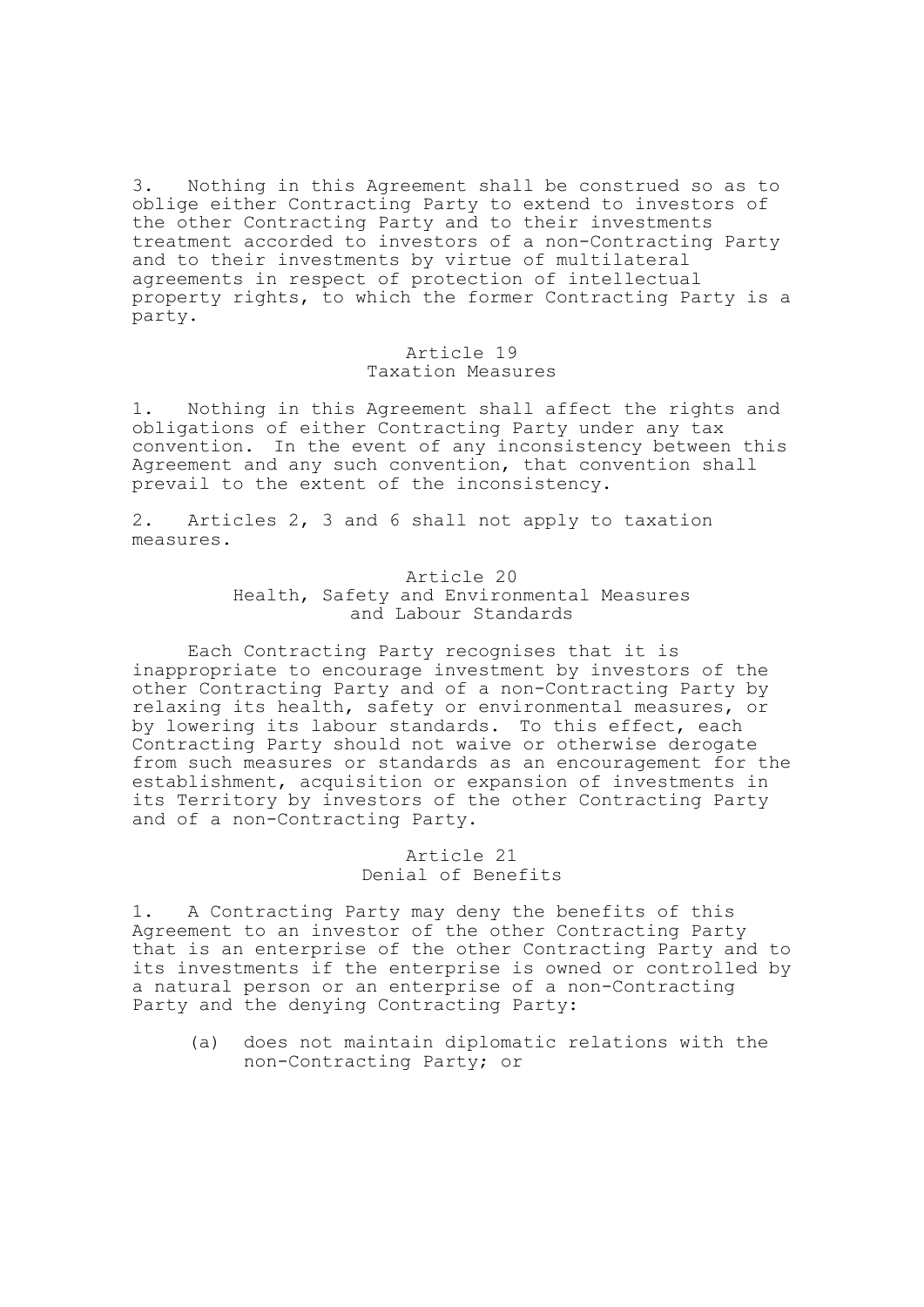3. Nothing in this Agreement shall be construed so as to oblige either Contracting Party to extend to investors of the other Contracting Party and to their investments treatment accorded to investors of a non-Contracting Party and to their investments by virtue of multilateral agreements in respect of protection of intellectual property rights, to which the former Contracting Party is a party.

### Article 19 Taxation Measures

1. Nothing in this Agreement shall affect the rights and obligations of either Contracting Party under any tax convention. In the event of any inconsistency between this Agreement and any such convention, that convention shall prevail to the extent of the inconsistency.

2. Articles 2, 3 and 6 shall not apply to taxation measures.

# Article 20 Health, Safety and Environmental Measures and Labour Standards

Each Contracting Party recognises that it is inappropriate to encourage investment by investors of the other Contracting Party and of a non-Contracting Party by relaxing its health, safety or environmental measures, or by lowering its labour standards. To this effect, each Contracting Party should not waive or otherwise derogate from such measures or standards as an encouragement for the establishment, acquisition or expansion of investments in its Territory by investors of the other Contracting Party and of a non-Contracting Party.

# Article 21 Denial of Benefits

1. A Contracting Party may deny the benefits of this Agreement to an investor of the other Contracting Party that is an enterprise of the other Contracting Party and to its investments if the enterprise is owned or controlled by a natural person or an enterprise of a non-Contracting Party and the denying Contracting Party:

(a) does not maintain diplomatic relations with the non-Contracting Party; or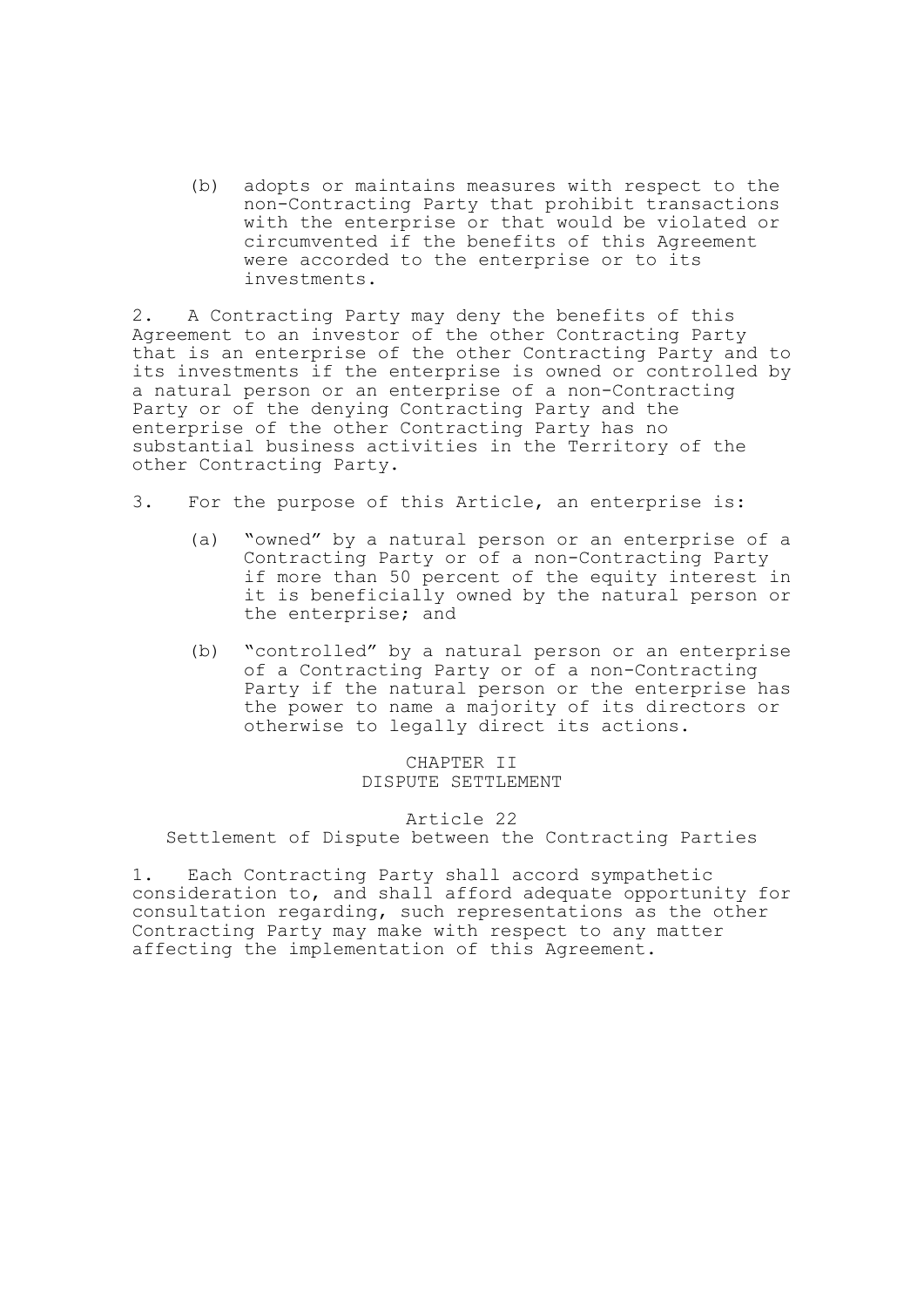(b) adopts or maintains measures with respect to the non-Contracting Party that prohibit transactions with the enterprise or that would be violated or circumvented if the benefits of this Agreement were accorded to the enterprise or to its investments.

2. A Contracting Party may deny the benefits of this Agreement to an investor of the other Contracting Party that is an enterprise of the other Contracting Party and to its investments if the enterprise is owned or controlled by a natural person or an enterprise of a non-Contracting Party or of the denying Contracting Party and the enterprise of the other Contracting Party has no substantial business activities in the Territory of the other Contracting Party.

- 3. For the purpose of this Article, an enterprise is:
	- (a) "owned" by a natural person or an enterprise of a Contracting Party or of a non-Contracting Party if more than 50 percent of the equity interest in it is beneficially owned by the natural person or the enterprise; and
	- (b) "controlled" by a natural person or an enterprise of a Contracting Party or of a non-Contracting Party if the natural person or the enterprise has the power to name a majority of its directors or otherwise to legally direct its actions.

# CHAPTER II DISPUTE SETTLEMENT

# Article 22 Settlement of Dispute between the Contracting Parties

1. Each Contracting Party shall accord sympathetic consideration to, and shall afford adequate opportunity for consultation regarding, such representations as the other Contracting Party may make with respect to any matter affecting the implementation of this Agreement.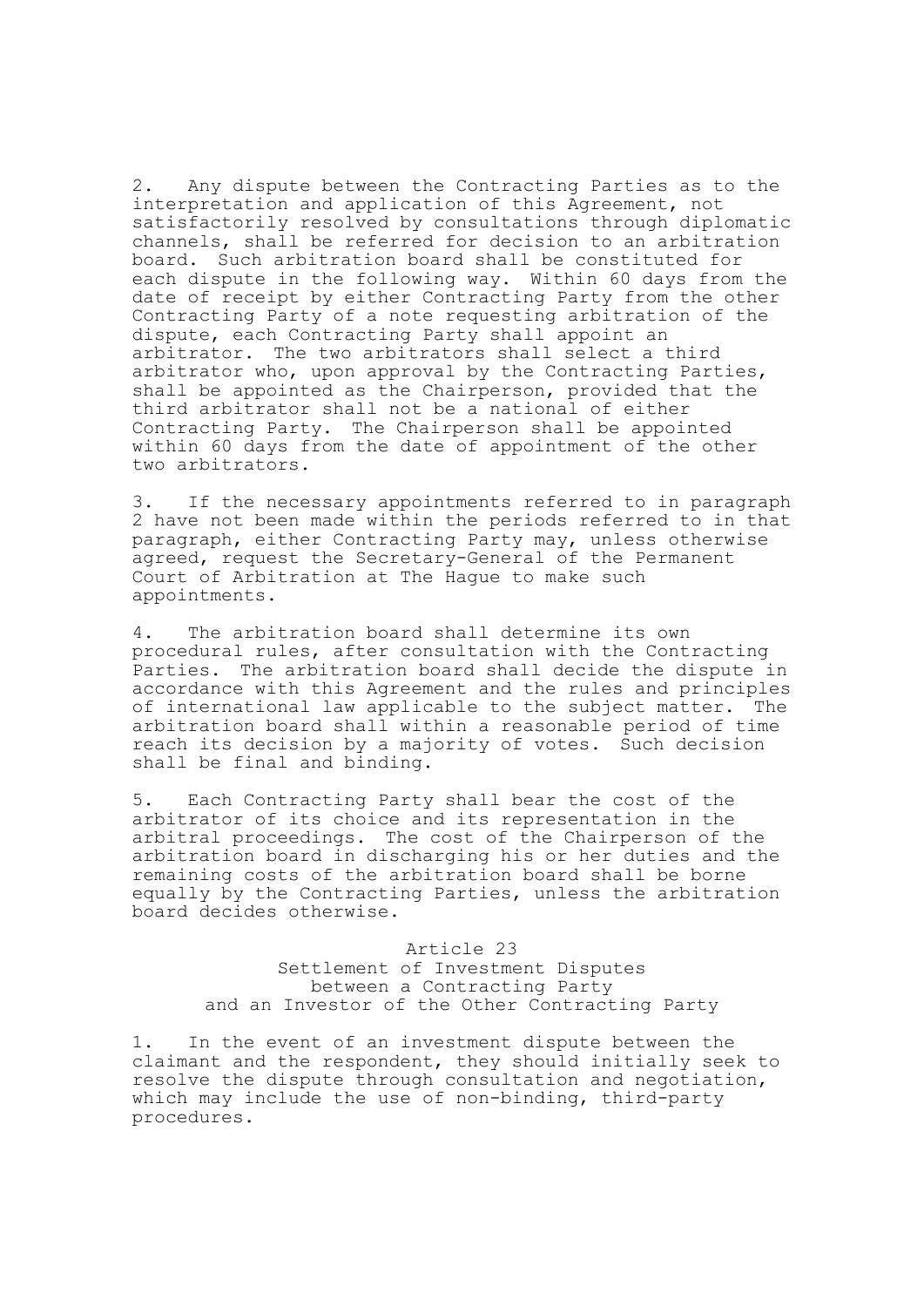2. Any dispute between the Contracting Parties as to the interpretation and application of this Agreement, not satisfactorily resolved by consultations through diplomatic channels, shall be referred for decision to an arbitration board. Such arbitration board shall be constituted for each dispute in the following way. Within 60 days from the date of receipt by either Contracting Party from the other Contracting Party of a note requesting arbitration of the dispute, each Contracting Party shall appoint an arbitrator. The two arbitrators shall select a third arbitrator who, upon approval by the Contracting Parties, shall be appointed as the Chairperson, provided that the third arbitrator shall not be a national of either Contracting Party. The Chairperson shall be appointed within 60 days from the date of appointment of the other two arbitrators.

3. If the necessary appointments referred to in paragraph 2 have not been made within the periods referred to in that paragraph, either Contracting Party may, unless otherwise agreed, request the Secretary-General of the Permanent Court of Arbitration at The Hague to make such appointments.

4. The arbitration board shall determine its own procedural rules, after consultation with the Contracting Parties. The arbitration board shall decide the dispute in accordance with this Agreement and the rules and principles of international law applicable to the subject matter. The arbitration board shall within a reasonable period of time reach its decision by a majority of votes. Such decision shall be final and binding.

5. Each Contracting Party shall bear the cost of the arbitrator of its choice and its representation in the arbitral proceedings. The cost of the Chairperson of the arbitration board in discharging his or her duties and the remaining costs of the arbitration board shall be borne equally by the Contracting Parties, unless the arbitration board decides otherwise.

> Article 23 Settlement of Investment Disputes between a Contracting Party and an Investor of the Other Contracting Party

1. In the event of an investment dispute between the claimant and the respondent, they should initially seek to resolve the dispute through consultation and negotiation, which may include the use of non-binding, third-party procedures.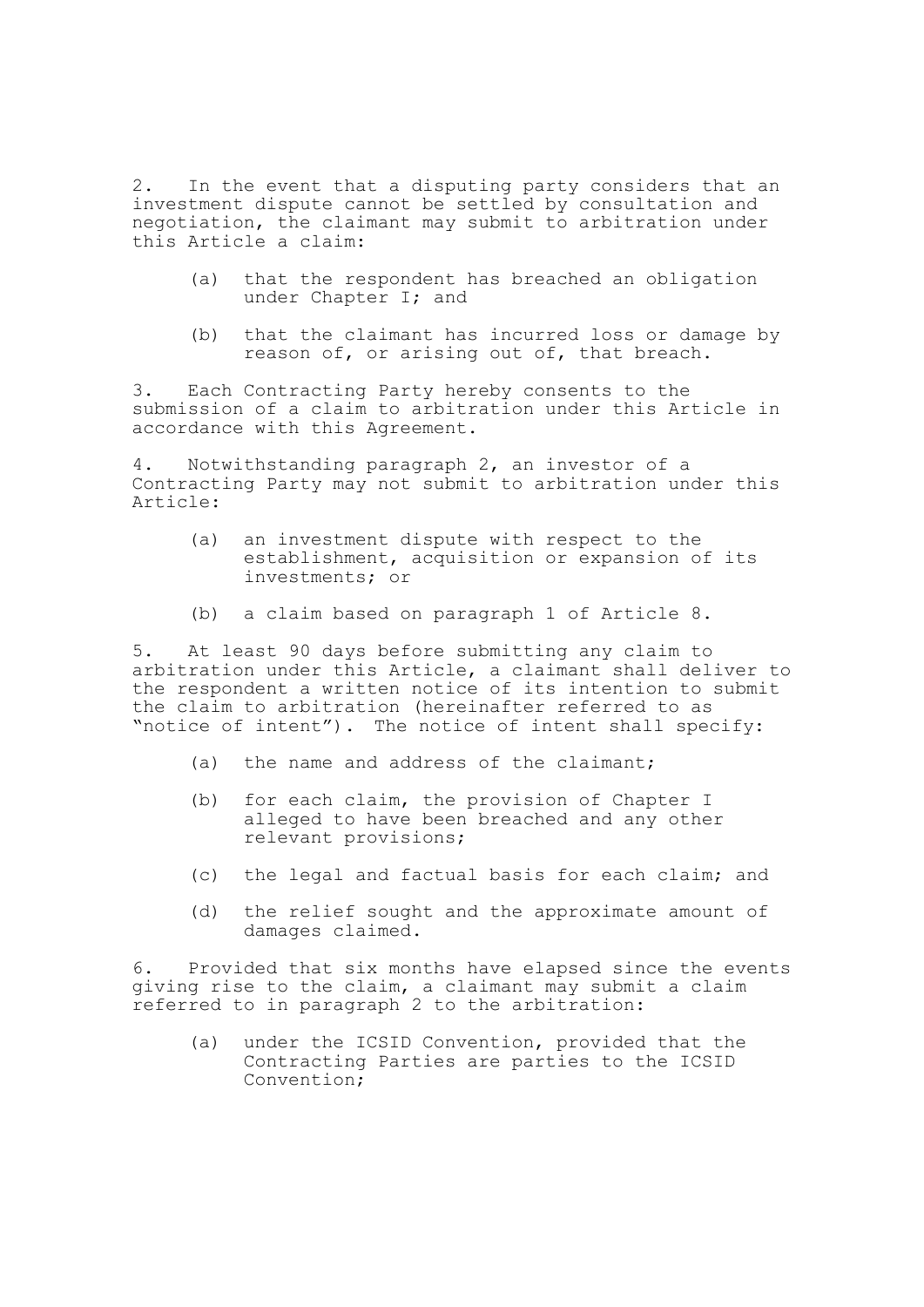2. In the event that a disputing party considers that an investment dispute cannot be settled by consultation and negotiation, the claimant may submit to arbitration under this Article a claim:

- (a) that the respondent has breached an obligation under Chapter I; and
- (b) that the claimant has incurred loss or damage by reason of, or arising out of, that breach.

3. Each Contracting Party hereby consents to the submission of a claim to arbitration under this Article in accordance with this Agreement.

4. Notwithstanding paragraph 2, an investor of a Contracting Party may not submit to arbitration under this Article:

- (a) an investment dispute with respect to the establishment, acquisition or expansion of its investments; or
- (b) a claim based on paragraph 1 of Article 8.

5. At least 90 days before submitting any claim to arbitration under this Article, a claimant shall deliver to the respondent a written notice of its intention to submit the claim to arbitration (hereinafter referred to as "notice of intent"). The notice of intent shall specify:

- (a) the name and address of the claimant;
- (b) for each claim, the provision of Chapter I alleged to have been breached and any other relevant provisions;
- (c) the legal and factual basis for each claim; and
- (d) the relief sought and the approximate amount of damages claimed.

6. Provided that six months have elapsed since the events giving rise to the claim, a claimant may submit a claim referred to in paragraph 2 to the arbitration:

(a) under the ICSID Convention, provided that the Contracting Parties are parties to the ICSID Convention;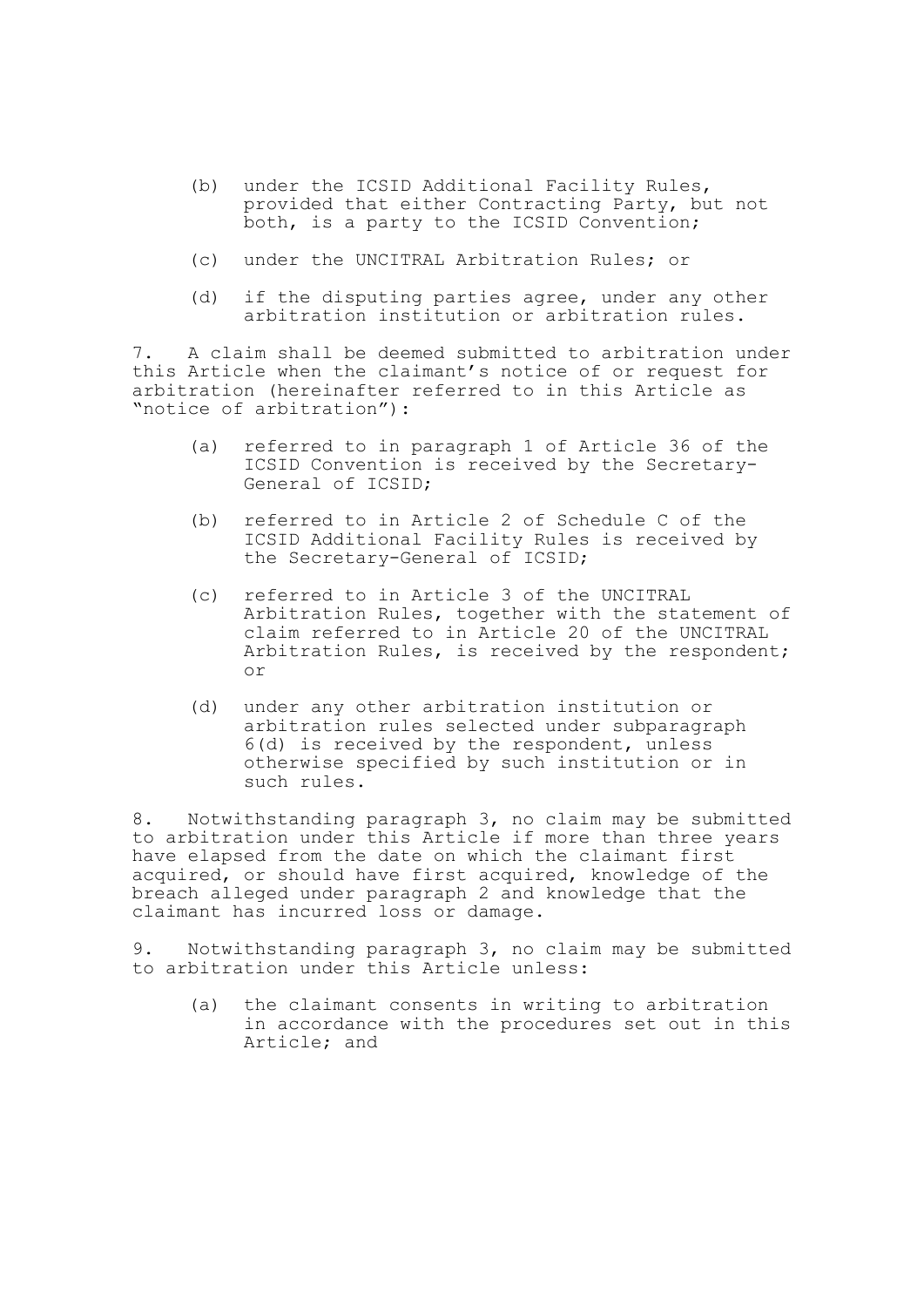- (b) under the ICSID Additional Facility Rules, provided that either Contracting Party, but not both, is a party to the ICSID Convention;
- (c) under the UNCITRAL Arbitration Rules; or
- (d) if the disputing parties agree, under any other arbitration institution or arbitration rules.

7. A claim shall be deemed submitted to arbitration under this Article when the claimant's notice of or request for arbitration (hereinafter referred to in this Article as "notice of arbitration"):

- (a) referred to in paragraph 1 of Article 36 of the ICSID Convention is received by the Secretary-General of ICSID;
- (b) referred to in Article 2 of Schedule C of the ICSID Additional Facility Rules is received by the Secretary-General of ICSID;
- (c) referred to in Article 3 of the UNCITRAL Arbitration Rules, together with the statement of claim referred to in Article 20 of the UNCITRAL Arbitration Rules, is received by the respondent; or
- (d) under any other arbitration institution or arbitration rules selected under subparagraph 6(d) is received by the respondent, unless otherwise specified by such institution or in such rules.

8. Notwithstanding paragraph 3, no claim may be submitted to arbitration under this Article if more than three years have elapsed from the date on which the claimant first acquired, or should have first acquired, knowledge of the breach alleged under paragraph 2 and knowledge that the claimant has incurred loss or damage.

9. Notwithstanding paragraph 3, no claim may be submitted to arbitration under this Article unless:

(a) the claimant consents in writing to arbitration in accordance with the procedures set out in this Article; and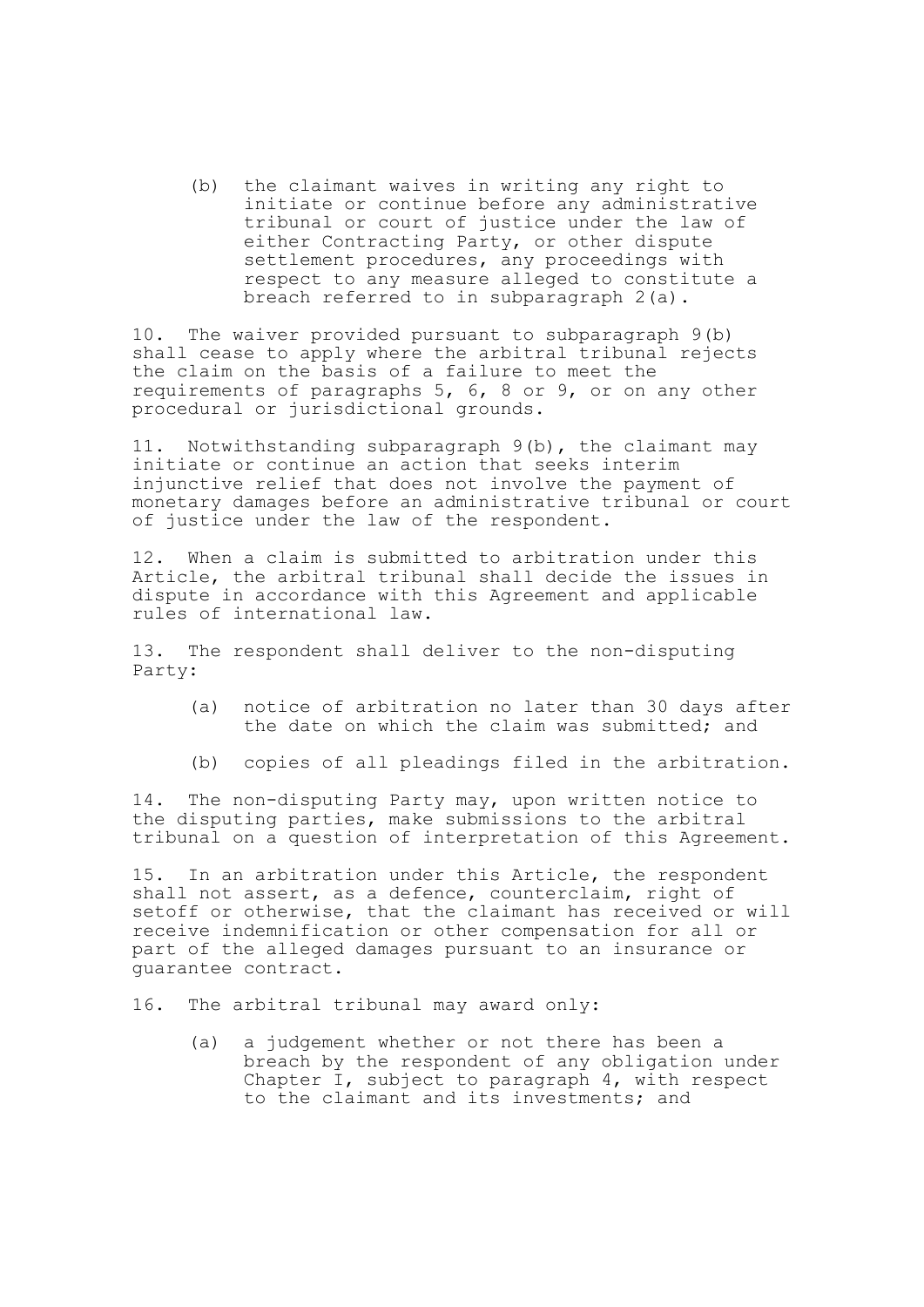(b) the claimant waives in writing any right to initiate or continue before any administrative tribunal or court of justice under the law of either Contracting Party, or other dispute settlement procedures, any proceedings with respect to any measure alleged to constitute a breach referred to in subparagraph 2(a).

10. The waiver provided pursuant to subparagraph 9(b) shall cease to apply where the arbitral tribunal rejects the claim on the basis of a failure to meet the requirements of paragraphs 5, 6, 8 or 9, or on any other procedural or jurisdictional grounds.

11. Notwithstanding subparagraph 9(b), the claimant may initiate or continue an action that seeks interim injunctive relief that does not involve the payment of monetary damages before an administrative tribunal or court of justice under the law of the respondent.

12. When a claim is submitted to arbitration under this Article, the arbitral tribunal shall decide the issues in dispute in accordance with this Agreement and applicable rules of international law.

13. The respondent shall deliver to the non-disputing Party:

- (a) notice of arbitration no later than 30 days after the date on which the claim was submitted: and
- (b) copies of all pleadings filed in the arbitration.

14. The non-disputing Party may, upon written notice to the disputing parties, make submissions to the arbitral tribunal on a question of interpretation of this Agreement.

15. In an arbitration under this Article, the respondent shall not assert, as a defence, counterclaim, right of setoff or otherwise, that the claimant has received or will receive indemnification or other compensation for all or part of the alleged damages pursuant to an insurance or guarantee contract.

16. The arbitral tribunal may award only:

(a) a judgement whether or not there has been a breach by the respondent of any obligation under Chapter I, subject to paragraph 4, with respect to the claimant and its investments; and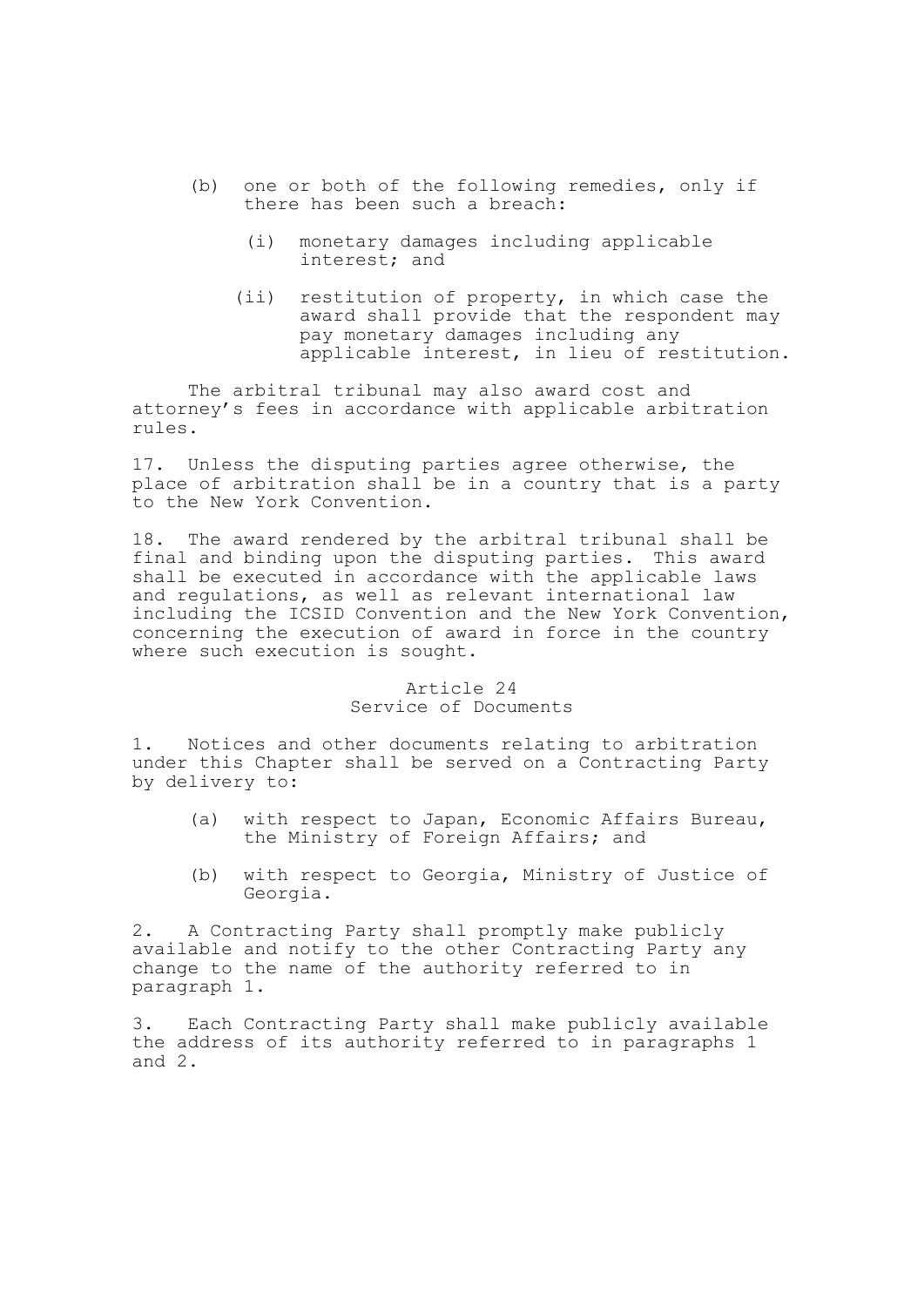- (b) one or both of the following remedies, only if there has been such a breach:
	- (i) monetary damages including applicable interest; and
	- (ii) restitution of property, in which case the award shall provide that the respondent may pay monetary damages including any applicable interest, in lieu of restitution.

The arbitral tribunal may also award cost and attorney's fees in accordance with applicable arbitration rules.

17. Unless the disputing parties agree otherwise, the place of arbitration shall be in a country that is a party to the New York Convention.

18. The award rendered by the arbitral tribunal shall be final and binding upon the disputing parties. This award shall be executed in accordance with the applicable laws and regulations, as well as relevant international law including the ICSID Convention and the New York Convention, concerning the execution of award in force in the country where such execution is sought.

# Article 24 Service of Documents

1. Notices and other documents relating to arbitration under this Chapter shall be served on a Contracting Party by delivery to:

- (a) with respect to Japan, Economic Affairs Bureau, the Ministry of Foreign Affairs; and
- (b) with respect to Georgia, Ministry of Justice of Georgia.

2. A Contracting Party shall promptly make publicly available and notify to the other Contracting Party any change to the name of the authority referred to in paragraph 1.

3. Each Contracting Party shall make publicly available the address of its authority referred to in paragraphs 1 and 2.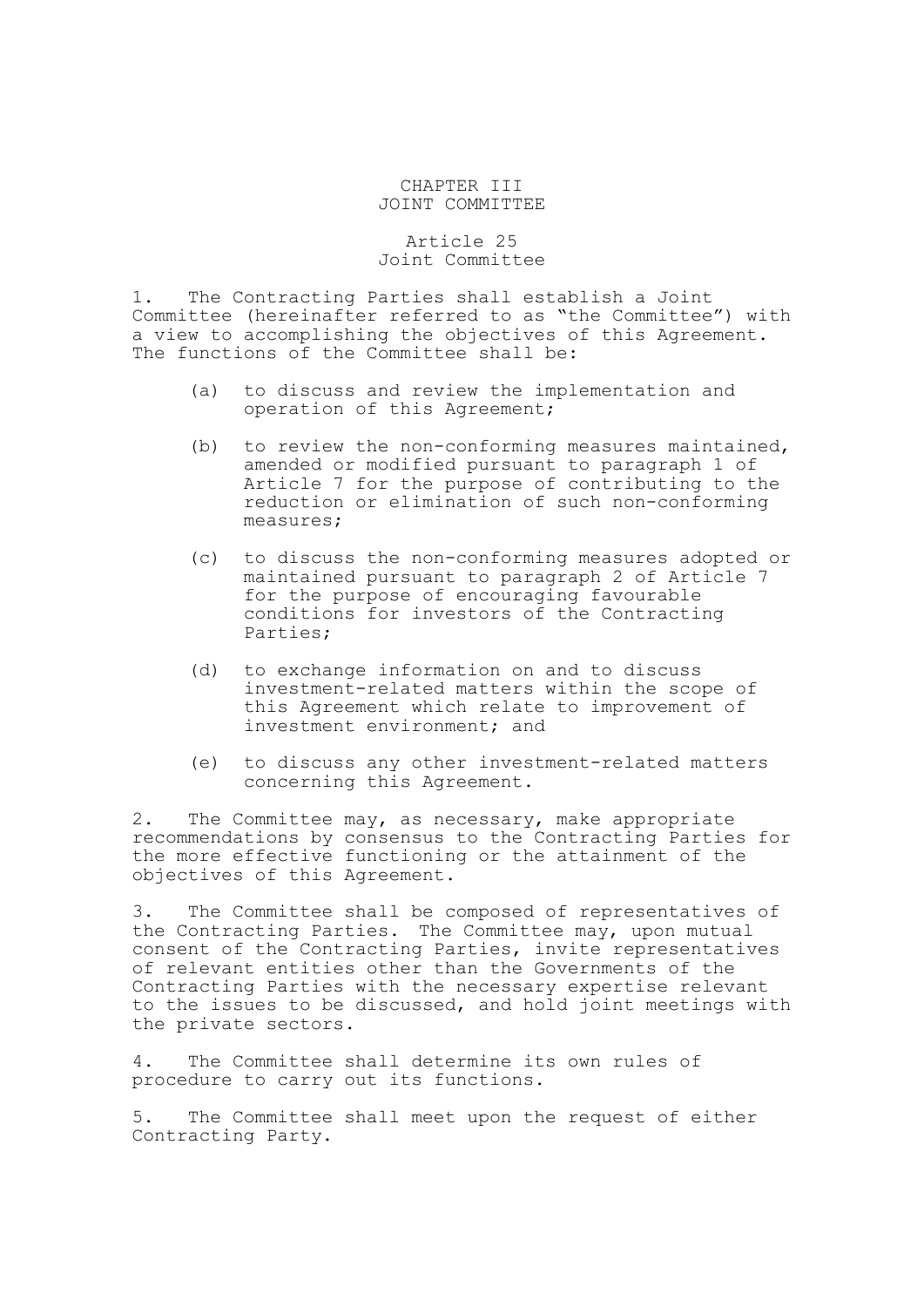### CHAPTER III JOINT COMMITTEE

### Article 25 Joint Committee

1. The Contracting Parties shall establish a Joint Committee (hereinafter referred to as "the Committee") with a view to accomplishing the objectives of this Agreement. The functions of the Committee shall be:

- (a) to discuss and review the implementation and operation of this Agreement;
- (b) to review the non-conforming measures maintained, amended or modified pursuant to paragraph 1 of Article 7 for the purpose of contributing to the reduction or elimination of such non-conforming measures;
- (c) to discuss the non-conforming measures adopted or maintained pursuant to paragraph 2 of Article 7 for the purpose of encouraging favourable conditions for investors of the Contracting Parties;
- (d) to exchange information on and to discuss investment-related matters within the scope of this Agreement which relate to improvement of investment environment; and
- (e) to discuss any other investment-related matters concerning this Agreement.

2. The Committee may, as necessary, make appropriate recommendations by consensus to the Contracting Parties for the more effective functioning or the attainment of the objectives of this Agreement.

3. The Committee shall be composed of representatives of the Contracting Parties. The Committee may, upon mutual consent of the Contracting Parties, invite representatives of relevant entities other than the Governments of the Contracting Parties with the necessary expertise relevant to the issues to be discussed, and hold joint meetings with the private sectors.

4. The Committee shall determine its own rules of procedure to carry out its functions.

5. The Committee shall meet upon the request of either Contracting Party.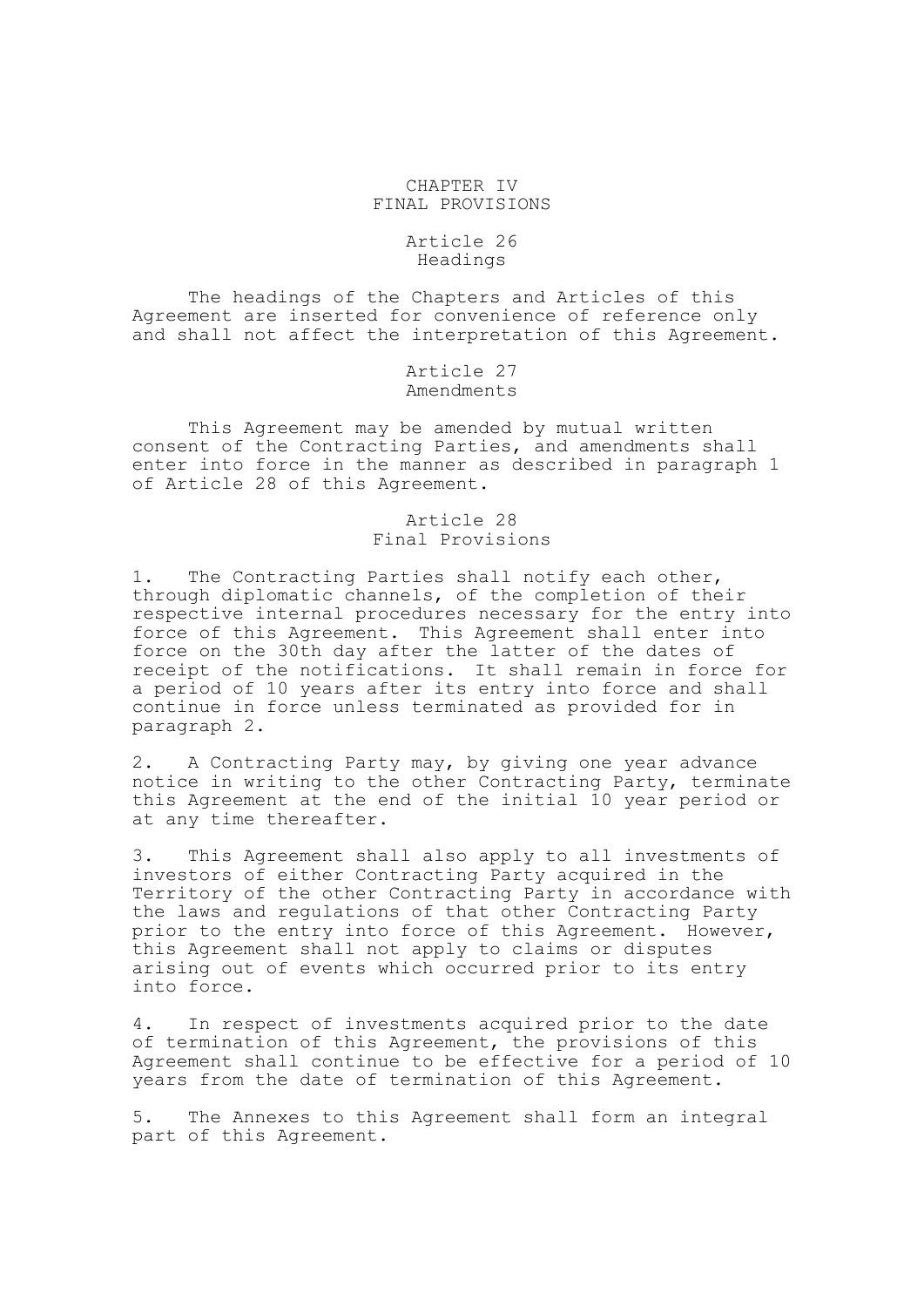## CHAPTER IV FINAL PROVISIONS

## Article 26 Headings

The headings of the Chapters and Articles of this Agreement are inserted for convenience of reference only and shall not affect the interpretation of this Agreement.

> Article 27 Amendments

This Agreement may be amended by mutual written consent of the Contracting Parties, and amendments shall enter into force in the manner as described in paragraph 1 of Article 28 of this Agreement.

# Article 28 Final Provisions

1. The Contracting Parties shall notify each other, through diplomatic channels, of the completion of their respective internal procedures necessary for the entry into force of this Agreement. This Agreement shall enter into force on the 30th day after the latter of the dates of receipt of the notifications. It shall remain in force for a period of 10 years after its entry into force and shall continue in force unless terminated as provided for in paragraph 2.

2. A Contracting Party may, by giving one year advance notice in writing to the other Contracting Party, terminate this Agreement at the end of the initial 10 year period or at any time thereafter.

3. This Agreement shall also apply to all investments of investors of either Contracting Party acquired in the Territory of the other Contracting Party in accordance with the laws and regulations of that other Contracting Party prior to the entry into force of this Agreement. However, this Agreement shall not apply to claims or disputes arising out of events which occurred prior to its entry into force.

4. In respect of investments acquired prior to the date of termination of this Agreement, the provisions of this Agreement shall continue to be effective for a period of 10 years from the date of termination of this Agreement.

5. The Annexes to this Agreement shall form an integral part of this Agreement.